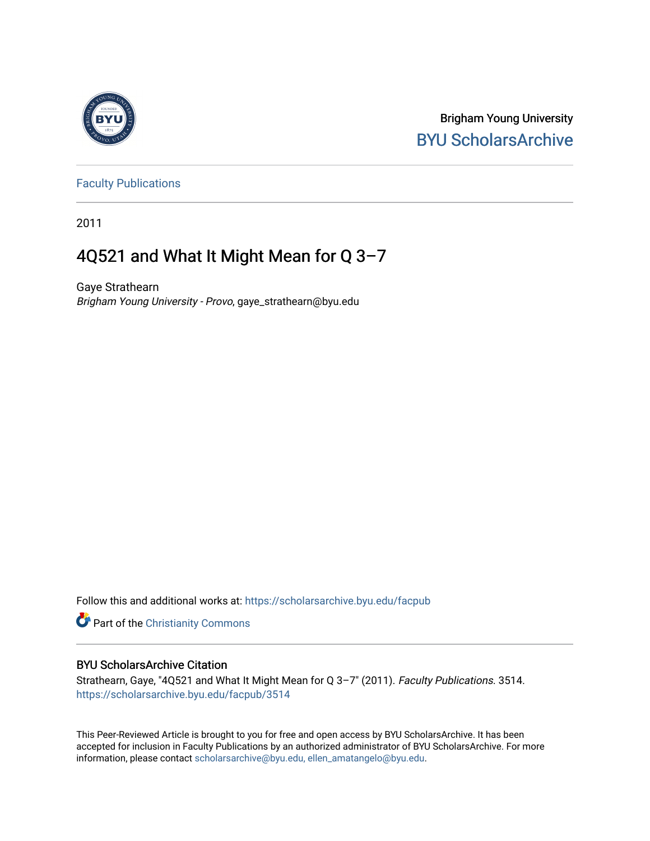

Brigham Young University [BYU ScholarsArchive](https://scholarsarchive.byu.edu/) 

[Faculty Publications](https://scholarsarchive.byu.edu/facpub)

2011

# 4Q521 and What It Might Mean for Q 3–7

Gaye Strathearn Brigham Young University - Provo, gaye\_strathearn@byu.edu

Follow this and additional works at: [https://scholarsarchive.byu.edu/facpub](https://scholarsarchive.byu.edu/facpub?utm_source=scholarsarchive.byu.edu%2Ffacpub%2F3514&utm_medium=PDF&utm_campaign=PDFCoverPages) 

Part of the [Christianity Commons](http://network.bepress.com/hgg/discipline/1181?utm_source=scholarsarchive.byu.edu%2Ffacpub%2F3514&utm_medium=PDF&utm_campaign=PDFCoverPages) 

# BYU ScholarsArchive Citation

Strathearn, Gaye, "4Q521 and What It Might Mean for Q 3–7" (2011). Faculty Publications. 3514. [https://scholarsarchive.byu.edu/facpub/3514](https://scholarsarchive.byu.edu/facpub/3514?utm_source=scholarsarchive.byu.edu%2Ffacpub%2F3514&utm_medium=PDF&utm_campaign=PDFCoverPages)

This Peer-Reviewed Article is brought to you for free and open access by BYU ScholarsArchive. It has been accepted for inclusion in Faculty Publications by an authorized administrator of BYU ScholarsArchive. For more information, please contact [scholarsarchive@byu.edu, ellen\\_amatangelo@byu.edu.](mailto:scholarsarchive@byu.edu,%20ellen_amatangelo@byu.edu)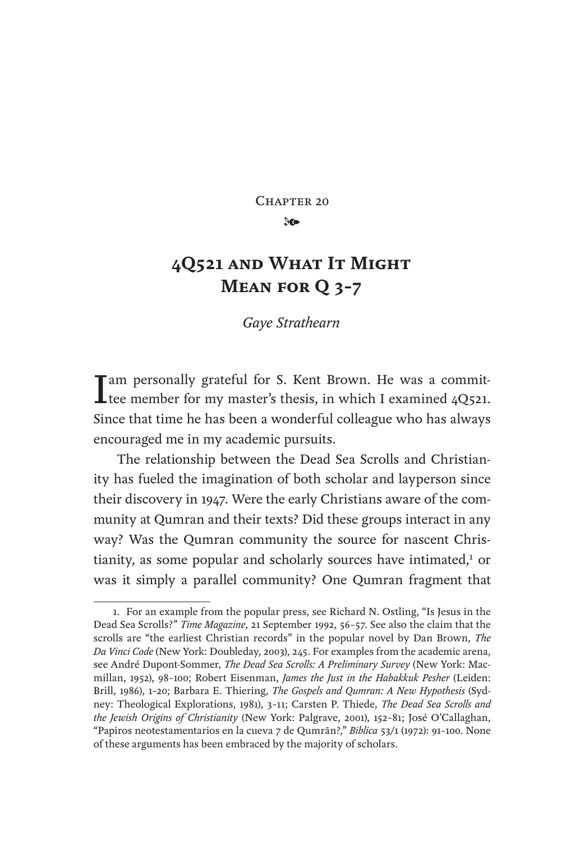CHAPTER 20

 $\infty$ 

# **4Q521 and What It Might Mean for Q 3–7**

*Gaye Strathearn*

I am personally grateful for S. Kent Brown. He was a commit-<br>tee member for my master's thesis, in which I examined 4Q521. Since that time he has been a wonderful colleague who has always encouraged me in my academic pursuits.

The relationship between the Dead Sea Scrolls and Christianity has fueled the imagination of both scholar and layperson since their discovery in 1947. Were the early Christians aware of the community at Qumran and their texts? Did these groups interact in any way? Was the Qumran community the source for nascent Christianity, as some popular and scholarly sources have intimated,<sup>1</sup> or was it simply a parallel community? One Qumran fragment that

<sup>1.</sup> For an example from the popular press, see Richard N. Ostling, "Is Jesus in the Dead Sea Scrolls?" *Time Magazine*, 21 September 1992, 56–57. See also the claim that the scrolls are "the earliest Christian records" in the popular novel by Dan Brown, *The Da Vinci Code* (New York: Doubleday, 2003), 245. For examples from the academic arena, see André Dupont-Sommer, *The Dead Sea Scrolls: A Preliminary Survey* (New York: Macmillan, 1952), 98–100; Robert Eisenman, *James the Just in the Habakkuk Pesher* (Leiden: Brill, 1986), 1–20; Barbara E. Thiering, *The Gospels and Qumran: A New Hypothesis* (Sydney: Theological Explorations, 1981), 3–11; Carsten P. Thiede, *The Dead Sea Scrolls and the Jewish Origins of Christianity* (New York: Palgrave, 2001), 152–81; José O'Callaghan, "Papiros neotestamentarios en la cueva 7 de Qumrān?," *Biblica* 53/1 (1972): 91–100. None of these arguments has been embraced by the majority of scholars.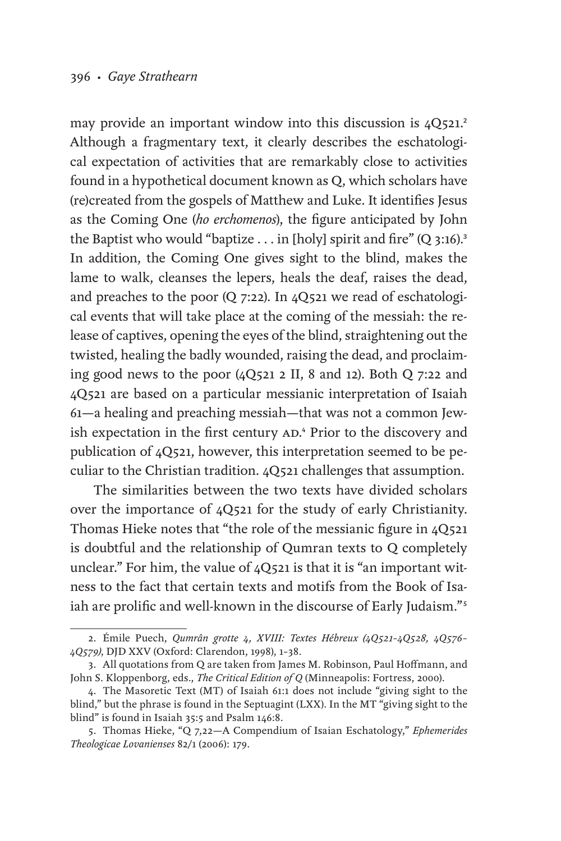may provide an important window into this discussion is 4Q521.<sup>2</sup> Although a fragmentary text, it clearly describes the eschatological expectation of activities that are remarkably close to activities found in a hypothetical document known as Q, which scholars have (re)created from the gospels of Matthew and Luke. It identifies Jesus as the Coming One (*ho erchomenos*), the figure anticipated by John the Baptist who would "baptize  $\dots$  in [holy] spirit and fire" (Q 3:16).<sup>3</sup> In addition, the Coming One gives sight to the blind, makes the lame to walk, cleanses the lepers, heals the deaf, raises the dead, and preaches to the poor (Q 7:22). In 4Q521 we read of eschatological events that will take place at the coming of the messiah: the release of captives, opening the eyes of the blind, straightening out the twisted, healing the badly wounded, raising the dead, and proclaiming good news to the poor (4Q521 2 II, 8 and 12). Both Q 7:22 and 4Q521 are based on a particular messianic interpretation of Isaiah 61—a healing and preaching messiah—that was not a common Jewish expectation in the first century AD.<sup>4</sup> Prior to the discovery and publication of 4Q521, however, this interpretation seemed to be peculiar to the Christian tradition. 4Q521 challenges that assumption.

The similarities between the two texts have divided scholars over the importance of 4Q521 for the study of early Christianity. Thomas Hieke notes that "the role of the messianic figure in 4Q521 is doubtful and the relationship of Qumran texts to Q completely unclear." For him, the value of 4Q521 is that it is "an important witness to the fact that certain texts and motifs from the Book of Isaiah are prolific and well-known in the discourse of Early Judaism."<sup>5</sup>

<sup>2.</sup> Émile Puech, *Qumrân grotte 4, XVIII: Textes Hébreux (4Q521–4Q528, 4Q576– 4Q579)*, DJD XXV (Oxford: Clarendon, 1998), 1–38.

<sup>3.</sup> All quotations from Q are taken from James M. Robinson, Paul Hoffmann, and John S. Kloppenborg, eds., *The Critical Edition of Q* (Minneapolis: Fortress, 2000).

<sup>4.</sup> The Masoretic Text (MT) of Isaiah 61:1 does not include "giving sight to the blind," but the phrase is found in the Septuagint (LXX). In the MT "giving sight to the blind" is found in Isaiah 35:5 and Psalm 146:8.

<sup>5.</sup> Thomas Hieke, "Q 7,22—A Compendium of Isaian Eschatology," *Ephemerides Theologicae Lovanienses* 82/1 (2006): 179.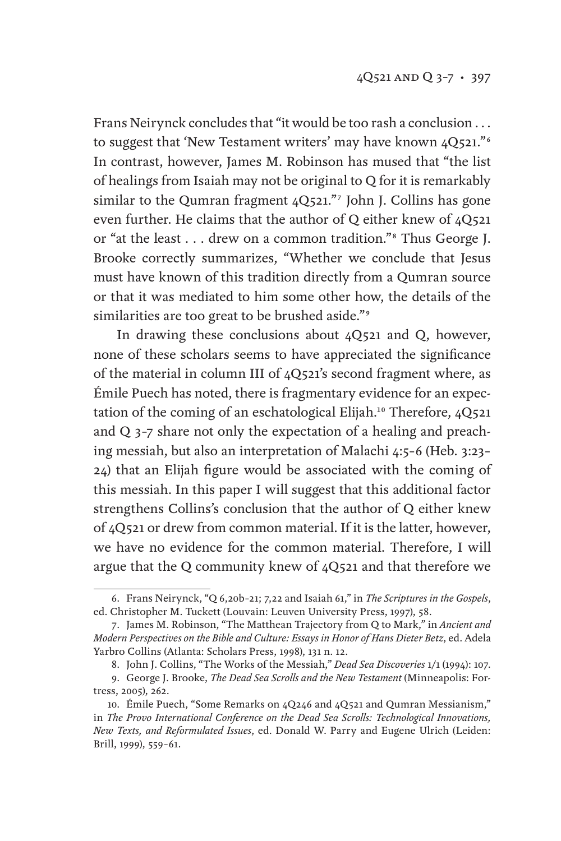Frans Neirynck concludes that "it would be too rash a conclusion . . . to suggest that 'New Testament writers' may have known  $4Q521$ ."<sup>6</sup> In contrast, however, James M. Robinson has mused that "the list of healings from Isaiah may not be original to Q for it is remarkably similar to the Qumran fragment 4Q521."<sup>7</sup> John J. Collins has gone even further. He claims that the author of Q either knew of 4Q521 or "at the least . . . drew on a common tradition."8 Thus George J. Brooke correctly summarizes, "Whether we conclude that Jesus must have known of this tradition directly from a Qumran source or that it was mediated to him some other how, the details of the similarities are too great to be brushed aside."<sup>9</sup>

In drawing these conclusions about 4Q521 and Q, however, none of these scholars seems to have appreciated the significance of the material in column III of 4Q521's second fragment where, as Émile Puech has noted, there is fragmentary evidence for an expectation of the coming of an eschatological Elijah.<sup>10</sup> Therefore, 4Q521 and Q 3–7 share not only the expectation of a healing and preaching messiah, but also an interpretation of Malachi 4:5–6 (Heb. 3:23– 24) that an Elijah figure would be associated with the coming of this messiah. In this paper I will suggest that this additional factor strengthens Collins's conclusion that the author of Q either knew of 4Q521 or drew from common material. If it is the latter, however, we have no evidence for the common material. Therefore, I will argue that the Q community knew of 4Q521 and that therefore we

<sup>6.</sup> Frans Neirynck, "Q 6,20b–21; 7,22 and Isaiah 61," in *The Scriptures in the Gospels*, ed. Christopher M. Tuckett (Louvain: Leuven University Press, 1997), 58.

<sup>7.</sup> James M. Robinson, "The Matthean Trajectory from Q to Mark," in *Ancient and Modern Perspectives on the Bible and Culture: Essays in Honor of Hans Dieter Betz*, ed. Adela Yarbro Collins (Atlanta: Scholars Press, 1998), 131 n. 12.

<sup>8.</sup> John J. Collins, "The Works of the Messiah," *Dead Sea Discoveries* 1/1 (1994): 107.

<sup>9.</sup> George J. Brooke, *The Dead Sea Scrolls and the New Testament* (Minneapolis: Fortress, 2005), 262.

<sup>10.</sup> Émile Puech, "Some Remarks on 4Q246 and 4Q521 and Qumran Messianism," in *The Provo International Conference on the Dead Sea Scrolls: Technological Innovations, New Texts, and Reformulated Issues*, ed. Donald W. Parry and Eugene Ulrich (Leiden: Brill, 1999), 559–61.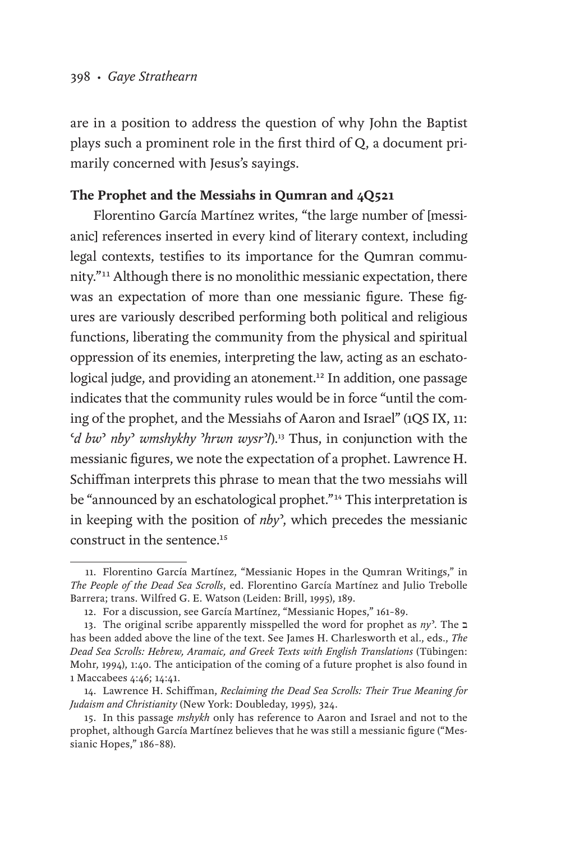are in a position to address the question of why John the Baptist plays such a prominent role in the first third of Q, a document primarily concerned with Jesus's sayings.

# **The Prophet and the Messiahs in Qumran and 4Q521**

Florentino García Martínez writes, "the large number of [messianic] references inserted in every kind of literary context, including legal contexts, testifies to its importance for the Qumran community."11 Although there is no monolithic messianic expectation, there was an expectation of more than one messianic figure. These figures are variously described performing both political and religious functions, liberating the community from the physical and spiritual oppression of its enemies, interpreting the law, acting as an eschatological judge, and providing an atonement.<sup>12</sup> In addition, one passage indicates that the community rules would be in force "until the coming of the prophet, and the Messiahs of Aaron and Israel" (1QS IX, 11: ʿ*d bw*ʾ *nby*ʾ *wmshykhy* ʾ*hrwn wysr*ʾ*l*).13 Thus, in conjunction with the messianic figures, we note the expectation of a prophet. Lawrence H. Schiffman interprets this phrase to mean that the two messiahs will be "announced by an eschatological prophet."<sup>14</sup> This interpretation is in keeping with the position of *nby*ʾ, which precedes the messianic construct in the sentence.<sup>15</sup>

<sup>11.</sup> Florentino García Martínez, "Messianic Hopes in the Qumran Writings," in *The People of the Dead Sea Scrolls*, ed. Florentino García Martínez and Julio Trebolle Barrera; trans. Wilfred G. E. Watson (Leiden: Brill, 1995), 189.

<sup>12.</sup> For a discussion, see García Martínez, "Messianic Hopes," 161–89.

<sup>13.</sup> The original scribe apparently misspelled the word for prophet as *ny*ʾ. The ב has been added above the line of the text. See James H. Charlesworth et al., eds., *The Dead Sea Scrolls: Hebrew, Aramaic, and Greek Texts with English Translations* (Tübingen: Mohr, 1994), 1:40. The anticipation of the coming of a future prophet is also found in 1 Maccabees 4:46; 14:41.

<sup>14.</sup> Lawrence H. Schiffman, *Reclaiming the Dead Sea Scrolls: Their True Meaning for Judaism and Christianity* (New York: Doubleday, 1995), 324.

<sup>15.</sup> In this passage *mshykh* only has reference to Aaron and Israel and not to the prophet, although García Martínez believes that he was still a messianic figure ("Messianic Hopes," 186-88).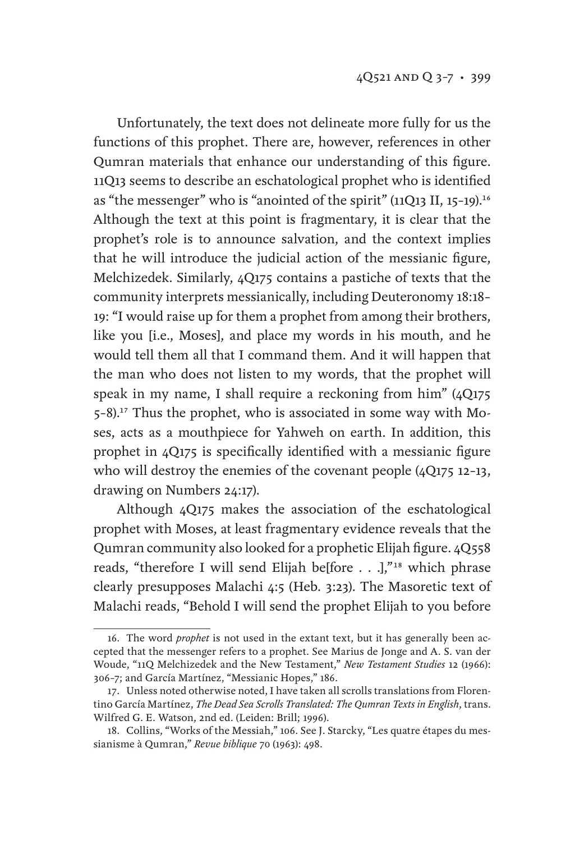Unfortunately, the text does not delineate more fully for us the functions of this prophet. There are, however, references in other Qumran materials that enhance our understanding of this figure. 11Q13 seems to describe an eschatological prophet who is identified as "the messenger" who is "anointed of the spirit" (11Q13 II, 15-19).<sup>16</sup> Although the text at this point is fragmentary, it is clear that the prophet's role is to announce salvation, and the context implies that he will introduce the judicial action of the messianic figure, Melchizedek. Similarly, 4Q175 contains a pastiche of texts that the community interprets messianically, including Deuteronomy 18:18– 19: "I would raise up for them a prophet from among their brothers, like you [i.e., Moses], and place my words in his mouth, and he would tell them all that I command them. And it will happen that the man who does not listen to my words, that the prophet will speak in my name, I shall require a reckoning from him" (4Q175 5–8).17 Thus the prophet, who is associated in some way with Moses, acts as a mouthpiece for Yahweh on earth. In addition, this prophet in 4Q175 is specifically identified with a messianic figure who will destroy the enemies of the covenant people (4Q175 12-13, drawing on Numbers 24:17).

Although 4Q175 makes the association of the eschatological prophet with Moses, at least fragmentary evidence reveals that the Qumran community also looked for a prophetic Elijah figure. 4Q558 reads, "therefore I will send Elijah be[fore . . .],"<sup>18</sup> which phrase clearly presupposes Malachi 4:5 (Heb. 3:23). The Masoretic text of Malachi reads, "Behold I will send the prophet Elijah to you before

<sup>16.</sup> The word *prophet* is not used in the extant text, but it has generally been accepted that the messenger refers to a prophet. See Marius de Jonge and A. S. van der Woude, "11Q Melchizedek and the New Testament," *New Testament Studies* 12 (1966): 306–7; and García Martínez, "Messianic Hopes," 186.

<sup>17.</sup> Unless noted otherwise noted, I have taken all scrolls translations from Florentino García Martínez, *The Dead Sea Scrolls Translated: The Qumran Texts in English*, trans. Wilfred G. E. Watson, 2nd ed. (Leiden: Brill; 1996).

<sup>18.</sup> Collins, "Works of the Messiah," 106. See J. Starcky, "Les quatre étapes du messianisme à Qumran," *Revue biblique* 70 (1963): 498.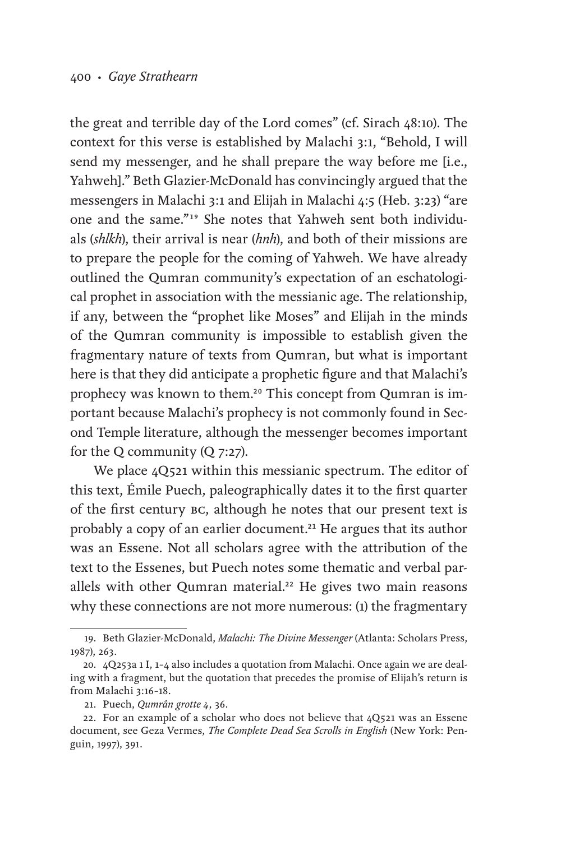the great and terrible day of the Lord comes" (cf. Sirach 48:10). The context for this verse is established by Malachi 3:1, "Behold, I will send my messenger, and he shall prepare the way before me [i.e., Yahweh]." Beth Glazier-McDonald has convincingly argued that the messengers in Malachi 3:1 and Elijah in Malachi 4:5 (Heb. 3:23) "are one and the same."19 She notes that Yahweh sent both individuals (*shlkh*), their arrival is near (*hnh*), and both of their missions are to prepare the people for the coming of Yahweh. We have already outlined the Qumran community's expectation of an eschatological prophet in association with the messianic age. The relationship, if any, between the "prophet like Moses" and Elijah in the minds of the Qumran community is impossible to establish given the fragmentary nature of texts from Qumran, but what is important here is that they did anticipate a prophetic figure and that Malachi's prophecy was known to them.<sup>20</sup> This concept from Qumran is important because Malachi's prophecy is not commonly found in Second Temple literature, although the messenger becomes important for the Q community (Q 7:27).

We place  $4Q521$  within this messianic spectrum. The editor of this text, Émile Puech, paleographically dates it to the first quarter of the first century bc, although he notes that our present text is probably a copy of an earlier document.<sup>21</sup> He argues that its author was an Essene. Not all scholars agree with the attribution of the text to the Essenes, but Puech notes some thematic and verbal parallels with other Qumran material.<sup>22</sup> He gives two main reasons why these connections are not more numerous: (1) the fragmentary

<sup>19.</sup> Beth Glazier-McDonald, *Malachi: The Divine Messenger* (Atlanta: Scholars Press, 1987), 263.

<sup>20.</sup> 4Q253a 1 I, 1–4 also includes a quotation from Malachi. Once again we are dealing with a fragment, but the quotation that precedes the promise of Elijah's return is from Malachi 3:16–18.

<sup>21.</sup> Puech, *Qumrân grotte 4*, 36.

<sup>22.</sup> For an example of a scholar who does not believe that 4Q521 was an Essene document, see Geza Vermes, *The Complete Dead Sea Scrolls in English* (New York: Penguin, 1997), 391.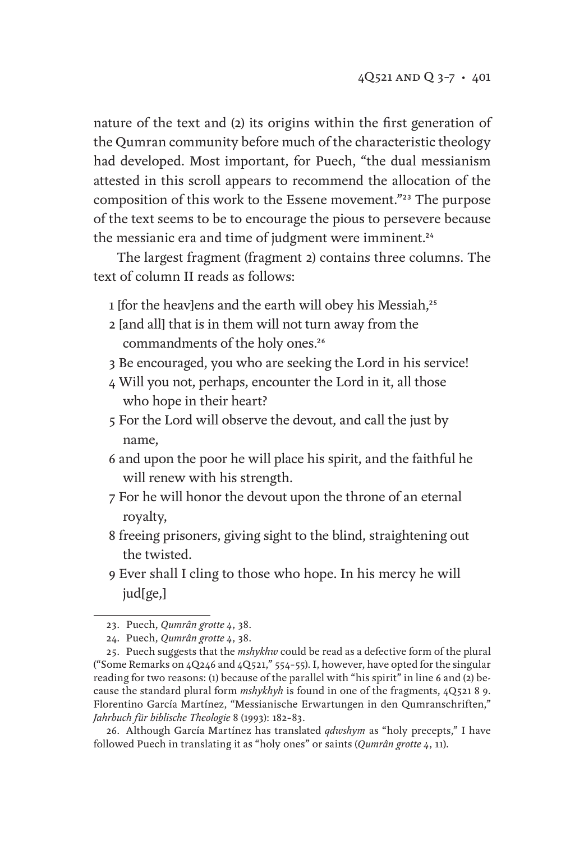nature of the text and (2) its origins within the first generation of the Qumran community before much of the characteristic theology had developed. Most important, for Puech, "the dual messianism attested in this scroll appears to recommend the allocation of the composition of this work to the Essene movement."23 The purpose of the text seems to be to encourage the pious to persevere because the messianic era and time of judgment were imminent.<sup>24</sup>

The largest fragment (fragment 2) contains three columns. The text of column II reads as follows:

- 1 [for the heav]ens and the earth will obey his Messiah,<sup>25</sup>
- 2 [and all] that is in them will not turn away from the commandments of the holy ones.<sup>26</sup>
- 3 Be encouraged, you who are seeking the Lord in his service!
- 4 Will you not, perhaps, encounter the Lord in it, all those who hope in their heart?
- 5 For the Lord will observe the devout, and call the just by name,
- 6 and upon the poor he will place his spirit, and the faithful he will renew with his strength.
- 7 For he will honor the devout upon the throne of an eternal royalty,
- 8 freeing prisoners, giving sight to the blind, straightening out the twisted.
- 9 Ever shall I cling to those who hope. In his mercy he will jud[ge,]

26. Although García Martínez has translated *qdwshym* as "holy precepts," I have followed Puech in translating it as "holy ones" or saints (*Qumrân grotte 4*, 11).

<sup>23.</sup> Puech, *Qumrân grotte 4*, 38.

<sup>24.</sup> Puech, *Qumrân grotte 4*, 38.

<sup>25.</sup> Puech suggests that the *mshykhw* could be read as a defective form of the plural ("Some Remarks on  $4Q_246$  and  $4Q_521$ ,"  $554-55$ ). I, however, have opted for the singular reading for two reasons: (1) because of the parallel with "his spirit" in line 6 and (2) because the standard plural form *mshykhyh* is found in one of the fragments, 4Q521 8 9. Florentino García Martínez, "Messianische Erwartungen in den Qumranschriften," *Jahrbuch für biblische Theologie* 8 (1993): 182–83.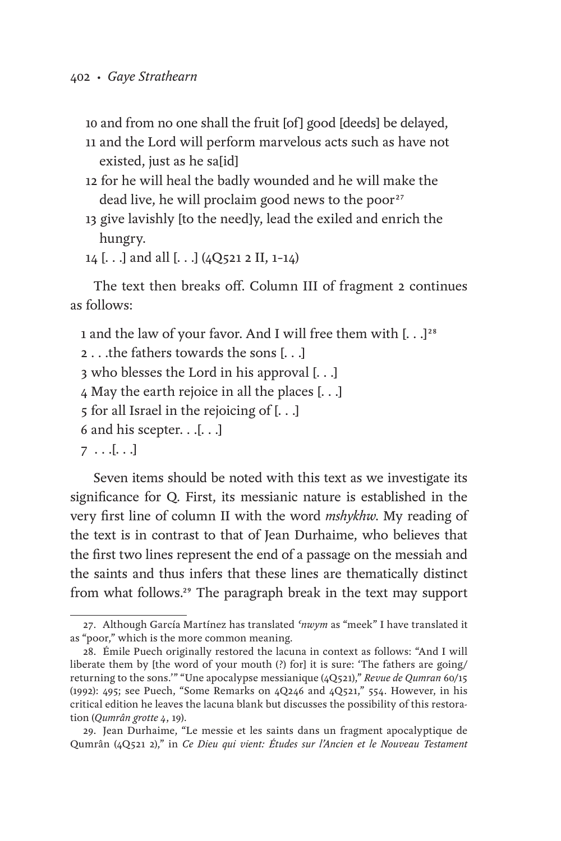10 and from no one shall the fruit [of] good [deeds] be delayed,

- 11 and the Lord will perform marvelous acts such as have not existed, just as he sa[id]
- 12 for he will heal the badly wounded and he will make the dead live, he will proclaim good news to the poor<sup>27</sup>
- 13 give lavishly [to the need]y, lead the exiled and enrich the hungry.
- 14 [. . .] and all [. . .] (4Q521 2 II, 1–14)

The text then breaks off. Column III of fragment 2 continues as follows:

1 and the law of your favor. And I will free them with [...]<sup>28</sup>

```
2 . . .the fathers towards the sons [. . .]
```
3 who blesses the Lord in his approval [. . .]

4 May the earth rejoice in all the places [. . .]

- 5 for all Israel in the rejoicing of [. . .]
- 6 and his scepter.  $\ldots$ [ $\ldots$ ]
- $7 \ldots$ [ $\ldots$ ]

Seven items should be noted with this text as we investigate its significance for Q. First, its messianic nature is established in the very first line of column II with the word *mshykhw*. My reading of the text is in contrast to that of Jean Durhaime, who believes that the first two lines represent the end of a passage on the messiah and the saints and thus infers that these lines are thematically distinct from what follows.29 The paragraph break in the text may support

<sup>27.</sup> Although García Martínez has translated *ʿnwym* as "meek" I have translated it as "poor," which is the more common meaning.

<sup>28.</sup> Émile Puech originally restored the lacuna in context as follows: "And I will liberate them by [the word of your mouth (?) for] it is sure: 'The fathers are going/ returning to the sons.'" "Une apocalypse messianique (4Q521)," *Revue de Qumran* 60/15 (1992): 495; see Puech, "Some Remarks on 4Q246 and 4Q521," 554. However, in his critical edition he leaves the lacuna blank but discusses the possibility of this restoration (*Qumrân grotte 4*, 19).

<sup>29.</sup> Jean Durhaime, "Le messie et les saints dans un fragment apocalyptique de Qumrân (4Q521 2)," in *Ce Dieu qui vient: Études sur l'Ancien et le Nouveau Testament*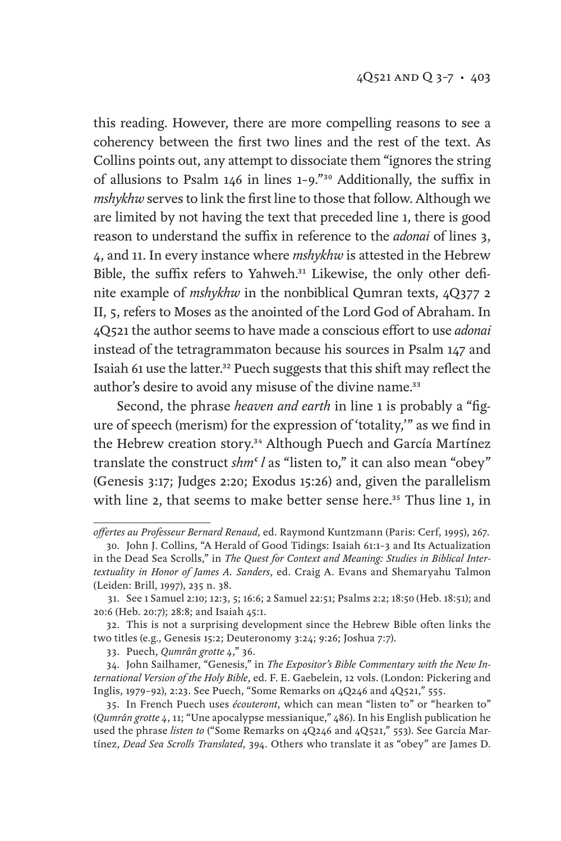this reading. However, there are more compelling reasons to see a coherency between the first two lines and the rest of the text. As Collins points out, any attempt to dissociate them "ignores the string of allusions to Psalm 146 in lines 1–9."30 Additionally, the suffix in *mshykhw* serves to link the first line to those that follow. Although we are limited by not having the text that preceded line 1, there is good reason to understand the suffix in reference to the *adonai* of lines 3, 4, and 11. In every instance where *mshykhw* is attested in the Hebrew Bible, the suffix refers to Yahweh.<sup>31</sup> Likewise, the only other definite example of *mshykhw* in the nonbiblical Qumran texts, 4Q377 2 II, 5, refers to Moses as the anointed of the Lord God of Abraham. In 4Q521 the author seems to have made a conscious effort to use *adonai* instead of the tetragrammaton because his sources in Psalm 147 and Isaiah 61 use the latter.<sup>32</sup> Puech suggests that this shift may reflect the author's desire to avoid any misuse of the divine name.<sup>33</sup>

Second, the phrase *heaven and earth* in line 1 is probably a "figure of speech (merism) for the expression of 'totality,'" as we find in the Hebrew creation story.<sup>34</sup> Although Puech and García Martínez translate the construct *shm<sup>c</sup>l* as "listen to," it can also mean "obey" (Genesis 3:17; Judges 2:20; Exodus 15:26) and, given the parallelism with line 2, that seems to make better sense here.<sup>35</sup> Thus line 1, in

*offertes au Professeur Bernard Renaud*, ed. Raymond Kuntzmann (Paris: Cerf, 1995), 267.

<sup>30.</sup> John J. Collins, "A Herald of Good Tidings: Isaiah 61:1–3 and Its Actualization in the Dead Sea Scrolls," in *The Quest for Context and Meaning: Studies in Biblical Intertextuality in Honor of James A. Sanders*, ed. Craig A. Evans and Shemaryahu Talmon (Leiden: Brill, 1997), 235 n. 38.

<sup>31.</sup> See 1 Samuel 2:10; 12:3, 5; 16:6; 2 Samuel 22:51; Psalms 2:2; 18:50 (Heb. 18:51); and 20:6 (Heb. 20:7); 28:8; and Isaiah 45:1.

<sup>32.</sup> This is not a surprising development since the Hebrew Bible often links the two titles (e.g., Genesis 15:2; Deuteronomy 3:24; 9:26; Joshua 7:7).

<sup>33.</sup> Puech, *Qumrân grotte 4*," 36.

<sup>34.</sup> John Sailhamer, "Genesis," in *The Expositor's Bible Commentary with the New International Version of the Holy Bible*, ed. F. E. Gaebelein, 12 vols. (London: Pickering and Inglis, 1979–92), 2:23. See Puech, "Some Remarks on 4Q246 and 4Q521," 555.

<sup>35.</sup> In French Puech uses *écouteront*, which can mean "listen to" or "hearken to" (*Qumrân grotte 4*, 11; "Une apocalypse messianique," 486). In his English publication he used the phrase *listen to* ("Some Remarks on 4Q246 and 4Q521," 553). See García Martínez, *Dead Sea Scrolls Translated*, 394. Others who translate it as "obey" are James D.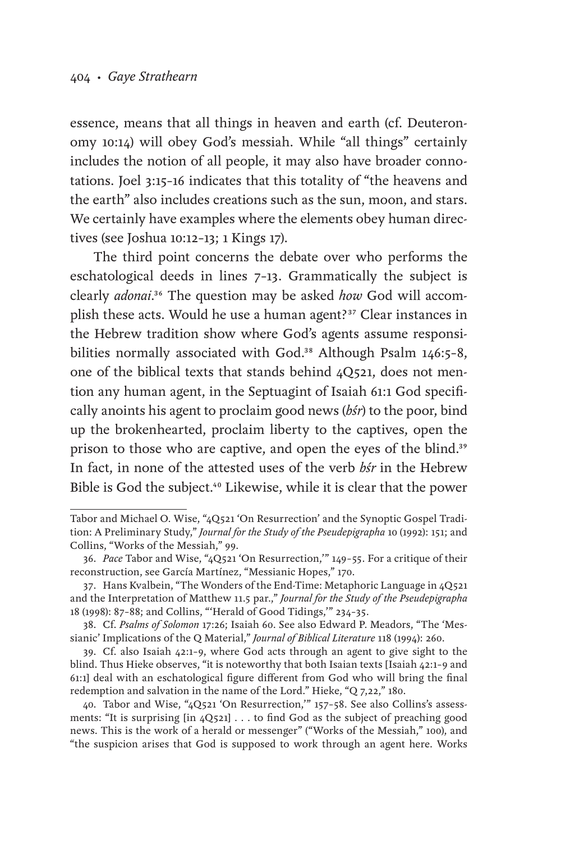essence, means that all things in heaven and earth (cf. Deuteronomy 10:14) will obey God's messiah. While "all things" certainly includes the notion of all people, it may also have broader connotations. Joel 3:15–16 indicates that this totality of "the heavens and the earth" also includes creations such as the sun, moon, and stars. We certainly have examples where the elements obey human directives (see Joshua 10:12–13; 1 Kings 17).

The third point concerns the debate over who performs the eschatological deeds in lines 7–13. Grammatically the subject is clearly *adonai*.36 The question may be asked *how* God will accomplish these acts. Would he use a human agent?<sup>37</sup> Clear instances in the Hebrew tradition show where God's agents assume responsibilities normally associated with God.<sup>38</sup> Although Psalm 146:5-8, one of the biblical texts that stands behind 4Q521, does not mention any human agent, in the Septuagint of Isaiah 61:1 God specifically anoints his agent to proclaim good news (*bśr*) to the poor, bind up the brokenhearted, proclaim liberty to the captives, open the prison to those who are captive, and open the eyes of the blind.<sup>39</sup> In fact, in none of the attested uses of the verb *bśr* in the Hebrew Bible is God the subject.<sup>40</sup> Likewise, while it is clear that the power

Tabor and Michael O. Wise, "4Q521 'On Resurrection' and the Synoptic Gospel Tradition: A Preliminary Study," *Journal for the Study of the Pseudepigrapha* 10 (1992): 151; and Collins, "Works of the Messiah," 99.

<sup>36.</sup> *Pace* Tabor and Wise, "4Q521 'On Resurrection,'" 149–55. For a critique of their reconstruction, see García Martínez, "Messianic Hopes," 170.

<sup>37.</sup> Hans Kvalbein, "The Wonders of the End-Time: Metaphoric Language in 4Q521 and the Interpretation of Matthew 11.5 par.," *Journal for the Study of the Pseudepigrapha* 18 (1998): 87–88; and Collins, "'Herald of Good Tidings,'" 234–35.

<sup>38.</sup> Cf. *Psalms of Solomon* 17:26; Isaiah 60. See also Edward P. Meadors, "The 'Messianic' Implications of the Q Material," *Journal of Biblical Literature* 118 (1994): 260.

<sup>39.</sup> Cf. also Isaiah 42:1–9, where God acts through an agent to give sight to the blind. Thus Hieke observes, "it is noteworthy that both Isaian texts [Isaiah 42:1–9 and 61:1] deal with an eschatological figure different from God who will bring the final redemption and salvation in the name of the Lord." Hieke, "Q 7,22," 180.

<sup>40.</sup> Tabor and Wise, "4Q521 'On Resurrection,'" 157–58. See also Collins's assessments: "It is surprising [in 4Q521] . . . to find God as the subject of preaching good news. This is the work of a herald or messenger" ("Works of the Messiah," 100), and "the suspicion arises that God is supposed to work through an agent here. Works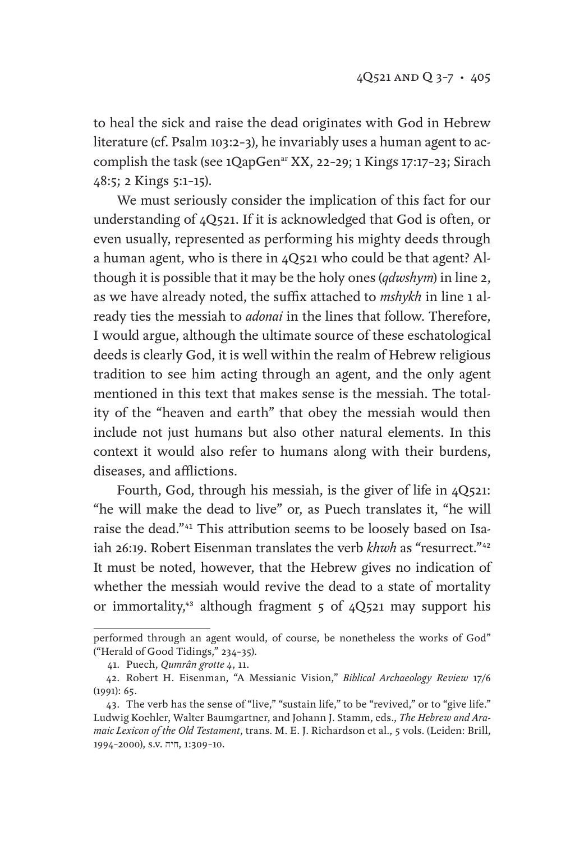to heal the sick and raise the dead originates with God in Hebrew literature (cf. Psalm 103:2–3), he invariably uses a human agent to accomplish the task (see 1QapGen<sup>ar</sup> XX, 22-29; 1 Kings 17:17-23; Sirach 48:5; 2 Kings 5:1–15).

We must seriously consider the implication of this fact for our understanding of 4Q521. If it is acknowledged that God is often, or even usually, represented as performing his mighty deeds through a human agent, who is there in 4Q521 who could be that agent? Although it is possible that it may be the holy ones (*qdwshym*) in line 2, as we have already noted, the suffix attached to *mshykh* in line 1 already ties the messiah to *adonai* in the lines that follow. Therefore, I would argue, although the ultimate source of these eschatological deeds is clearly God, it is well within the realm of Hebrew religious tradition to see him acting through an agent, and the only agent mentioned in this text that makes sense is the messiah. The totality of the "heaven and earth" that obey the messiah would then include not just humans but also other natural elements. In this context it would also refer to humans along with their burdens, diseases, and afflictions.

Fourth, God, through his messiah, is the giver of life in 4Q521: "he will make the dead to live" or, as Puech translates it, "he will raise the dead."41 This attribution seems to be loosely based on Isaiah 26:19. Robert Eisenman translates the verb *khwh* as "resurrect."<sup>42</sup> It must be noted, however, that the Hebrew gives no indication of whether the messiah would revive the dead to a state of mortality or immortality,<sup>43</sup> although fragment 5 of 4Q521 may support his

performed through an agent would, of course, be nonetheless the works of God" ("Herald of Good Tidings," 234–35).

<sup>41.</sup> Puech, *Qumrân grotte 4*, 11.

<sup>42.</sup> Robert H. Eisenman, "A Messianic Vision," *Biblical Archaeology Review* 17/6 (1991): 65.

<sup>43.</sup> The verb has the sense of "live," "sustain life," to be "revived," or to "give life." Ludwig Koehler, Walter Baumgartner, and Johann J. Stamm, eds., *The Hebrew and Aramaic Lexicon of the Old Testament*, trans. M. E. J. Richardson et al., 5 vols. (Leiden: Brill, 1994–2000), s.v. חיה, 1:309–10.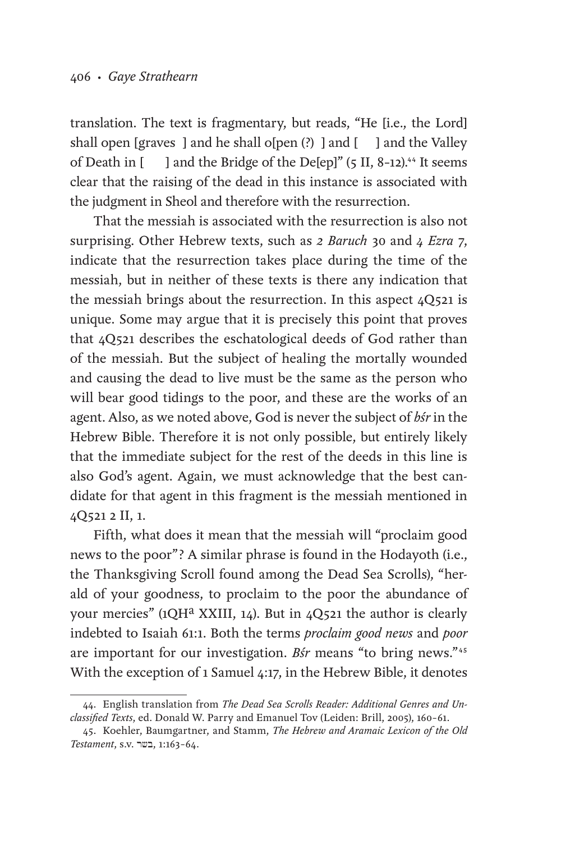translation. The text is fragmentary, but reads, "He [i.e., the Lord] shall open [graves ] and he shall o[pen  $\left($  ?) ] and  $\left[$  ] and the Valley of Death in  $\lceil$  l and the Bridge of the Defepl" (5 II, 8-12).<sup>44</sup> It seems clear that the raising of the dead in this instance is associated with the judgment in Sheol and therefore with the resurrection.

That the messiah is associated with the resurrection is also not surprising. Other Hebrew texts, such as *2 Baruch* 30 and *4 Ezra* 7, indicate that the resurrection takes place during the time of the messiah, but in neither of these texts is there any indication that the messiah brings about the resurrection. In this aspect 4Q521 is unique. Some may argue that it is precisely this point that proves that 4Q521 describes the eschatological deeds of God rather than of the messiah. But the subject of healing the mortally wounded and causing the dead to live must be the same as the person who will bear good tidings to the poor, and these are the works of an agent. Also, as we noted above, God is never the subject of *bśr* in the Hebrew Bible. Therefore it is not only possible, but entirely likely that the immediate subject for the rest of the deeds in this line is also God's agent. Again, we must acknowledge that the best candidate for that agent in this fragment is the messiah mentioned in 4Q521 2 II, 1.

Fifth, what does it mean that the messiah will "proclaim good news to the poor"? A similar phrase is found in the Hodayoth (i.e., the Thanksgiving Scroll found among the Dead Sea Scrolls), "herald of your goodness, to proclaim to the poor the abundance of your mercies" (1QH<sup>a</sup> XXIII, 14). But in 4Q521 the author is clearly indebted to Isaiah 61:1. Both the terms *proclaim good news* and *poor* are important for our investigation. *Bśr* means "to bring news."45 With the exception of 1 Samuel 4:17, in the Hebrew Bible, it denotes

<sup>44.</sup> English translation from *The Dead Sea Scrolls Reader: Additional Genres and Unclassified Texts*, ed. Donald W. Parry and Emanuel Tov (Leiden: Brill, 2005), 160–61.

<sup>45.</sup> Koehler, Baumgartner, and Stamm, *The Hebrew and Aramaic Lexicon of the Old Testament*, s.v. בשר, 1:163–64.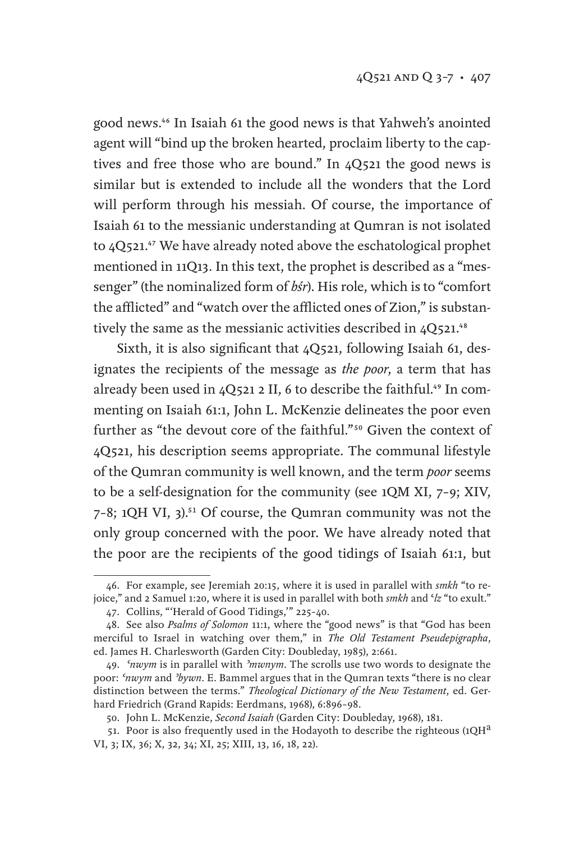good news.46 In Isaiah 61 the good news is that Yahweh's anointed agent will "bind up the broken hearted, proclaim liberty to the captives and free those who are bound." In 4Q521 the good news is similar but is extended to include all the wonders that the Lord will perform through his messiah. Of course, the importance of Isaiah 61 to the messianic understanding at Qumran is not isolated to 4Q521.<sup>47</sup> We have already noted above the eschatological prophet mentioned in 11Q13. In this text, the prophet is described as a "messenger" (the nominalized form of *bśr*). His role, which is to "comfort the afflicted" and "watch over the afflicted ones of Zion," is substantively the same as the messianic activities described in  $4Q521.^{48}$ 

Sixth, it is also significant that 4Q521, following Isaiah 61, designates the recipients of the message as *the poor*, a term that has already been used in  $4Q521$  2 II, 6 to describe the faithful.<sup>49</sup> In commenting on Isaiah 61:1, John L. McKenzie delineates the poor even further as "the devout core of the faithful."50 Given the context of 4Q521, his description seems appropriate. The communal lifestyle of the Qumran community is well known, and the term *poor* seems to be a self-designation for the community (see 1QM XI, 7–9; XIV, 7-8; 1QH VI, 3).<sup>51</sup> Of course, the Qumran community was not the only group concerned with the poor. We have already noted that the poor are the recipients of the good tidings of Isaiah 61:1, but

<sup>46.</sup> For example, see Jeremiah 20:15, where it is used in parallel with *smkh* "to rejoice," and 2 Samuel 1:20, where it is used in parallel with both *smkh* and ʿ*lz* "to exult."

<sup>47.</sup> Collins, "'Herald of Good Tidings,'" 225–40.

<sup>48.</sup> See also *Psalms of Solomon* 11:1, where the "good news" is that "God has been merciful to Israel in watching over them," in *The Old Testament Pseudepigrapha*, ed. James H. Charlesworth (Garden City: Doubleday, 1985), 2:661.

<sup>49.</sup> *ʿnwym* is in parallel with *ʾmwnym*. The scrolls use two words to designate the poor: *ʿnwym* and *ʾbywn*. E. Bammel argues that in the Qumran texts "there is no clear distinction between the terms." *Theological Dictionary of the New Testament*, ed. Gerhard Friedrich (Grand Rapids: Eerdmans, 1968), 6:896–98.

<sup>50.</sup> John L. McKenzie, *Second Isaiah* (Garden City: Doubleday, 1968), 181.

<sup>51.</sup> Poor is also frequently used in the Hodayoth to describe the righteous (1QH<sup>a</sup> VI, 3; IX, 36; X, 32, 34; XI, 25; XIII, 13, 16, 18, 22).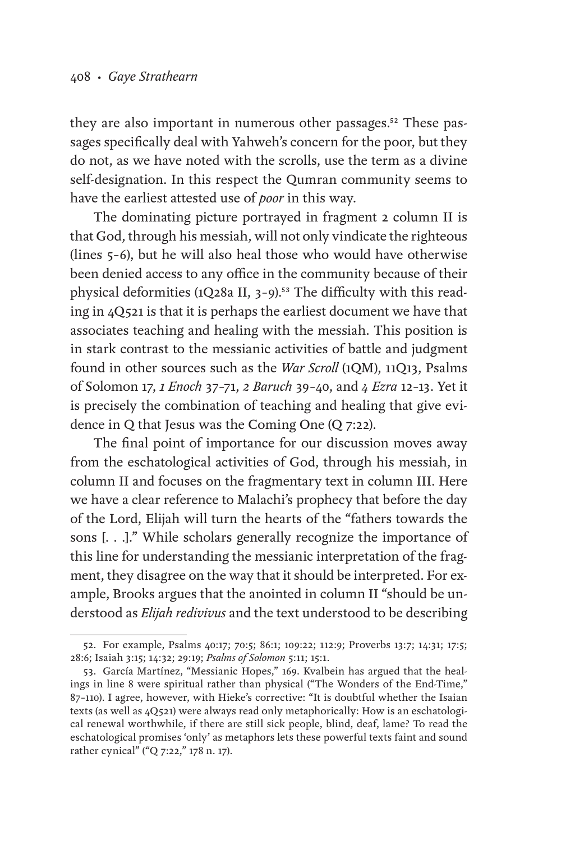they are also important in numerous other passages.<sup>52</sup> These passages specifically deal with Yahweh's concern for the poor, but they do not, as we have noted with the scrolls, use the term as a divine self-designation. In this respect the Qumran community seems to have the earliest attested use of *poor* in this way.

The dominating picture portrayed in fragment 2 column II is that God, through his messiah, will not only vindicate the righteous (lines 5–6), but he will also heal those who would have otherwise been denied access to any office in the community because of their physical deformities (1Q28a II, 3-9).<sup>53</sup> The difficulty with this reading in 4Q521 is that it is perhaps the earliest document we have that associates teaching and healing with the messiah. This position is in stark contrast to the messianic activities of battle and judgment found in other sources such as the *War Scroll* (1QM), 11Q13, Psalms of Solomon 17, *1 Enoch* 37–71, *2 Baruch* 39–40, and *4 Ezra* 12–13. Yet it is precisely the combination of teaching and healing that give evidence in Q that Jesus was the Coming One (Q 7:22).

The final point of importance for our discussion moves away from the eschatological activities of God, through his messiah, in column II and focuses on the fragmentary text in column III. Here we have a clear reference to Malachi's prophecy that before the day of the Lord, Elijah will turn the hearts of the "fathers towards the sons [. . .]." While scholars generally recognize the importance of this line for understanding the messianic interpretation of the fragment, they disagree on the way that it should be interpreted. For example, Brooks argues that the anointed in column II "should be understood as *Elijah redivivus* and the text understood to be describing

<sup>52.</sup> For example, Psalms 40:17; 70:5; 86:1; 109:22; 112:9; Proverbs 13:7; 14:31; 17:5; 28:6; Isaiah 3:15; 14:32; 29:19; *Psalms of Solomon* 5:11; 15:1.

<sup>53.</sup> García Martínez, "Messianic Hopes," 169. Kvalbein has argued that the healings in line 8 were spiritual rather than physical ("The Wonders of the End-Time," 87–110). I agree, however, with Hieke's corrective: "It is doubtful whether the Isaian texts (as well as 4Q521) were always read only metaphorically: How is an eschatological renewal worthwhile, if there are still sick people, blind, deaf, lame? To read the eschatological promises 'only' as metaphors lets these powerful texts faint and sound rather cynical" ("Q 7:22," 178 n. 17).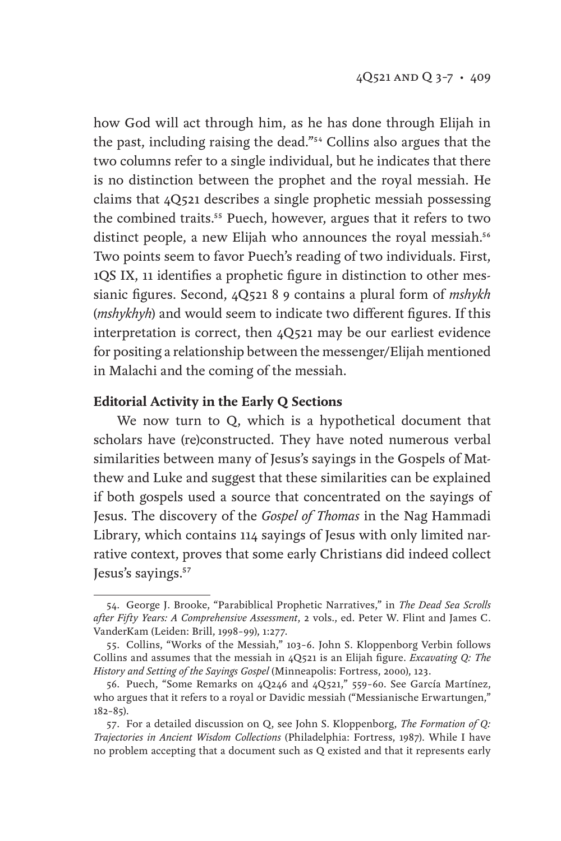how God will act through him, as he has done through Elijah in the past, including raising the dead."54 Collins also argues that the two columns refer to a single individual, but he indicates that there is no distinction between the prophet and the royal messiah. He claims that 4Q521 describes a single prophetic messiah possessing the combined traits.<sup>55</sup> Puech, however, argues that it refers to two distinct people, a new Elijah who announces the royal messiah.<sup>56</sup> Two points seem to favor Puech's reading of two individuals. First, 1QS IX, 11 identifies a prophetic figure in distinction to other messianic figures. Second, 4Q521 8 9 contains a plural form of *mshykh* (*mshykhyh*) and would seem to indicate two different figures. If this interpretation is correct, then 4Q521 may be our earliest evidence for positing a relationship between the messenger/Elijah mentioned in Malachi and the coming of the messiah.

#### **Editorial Activity in the Early Q Sections**

We now turn to Q, which is a hypothetical document that scholars have (re)constructed. They have noted numerous verbal similarities between many of Jesus's sayings in the Gospels of Matthew and Luke and suggest that these similarities can be explained if both gospels used a source that concentrated on the sayings of Jesus. The discovery of the *Gospel of Thomas* in the Nag Hammadi Library, which contains 114 sayings of Jesus with only limited narrative context, proves that some early Christians did indeed collect Jesus's sayings.<sup>57</sup>

<sup>54.</sup> George J. Brooke, "Parabiblical Prophetic Narratives," in *The Dead Sea Scrolls after Fifty Years: A Comprehensive Assessment*, 2 vols., ed. Peter W. Flint and James C. VanderKam (Leiden: Brill, 1998–99), 1:277.

<sup>55.</sup> Collins, "Works of the Messiah," 103–6. John S. Kloppenborg Verbin follows Collins and assumes that the messiah in 4Q521 is an Elijah figure. *Excavating Q: The History and Setting of the Sayings Gospel* (Minneapolis: Fortress, 2000), 123.

<sup>56.</sup> Puech, "Some Remarks on 4Q246 and 4Q521," 559–60. See García Martínez, who argues that it refers to a royal or Davidic messiah ("Messianische Erwartungen," 182–85).

<sup>57.</sup> For a detailed discussion on Q, see John S. Kloppenborg, *The Formation of Q: Trajectories in Ancient Wisdom Collections* (Philadelphia: Fortress, 1987). While I have no problem accepting that a document such as Q existed and that it represents early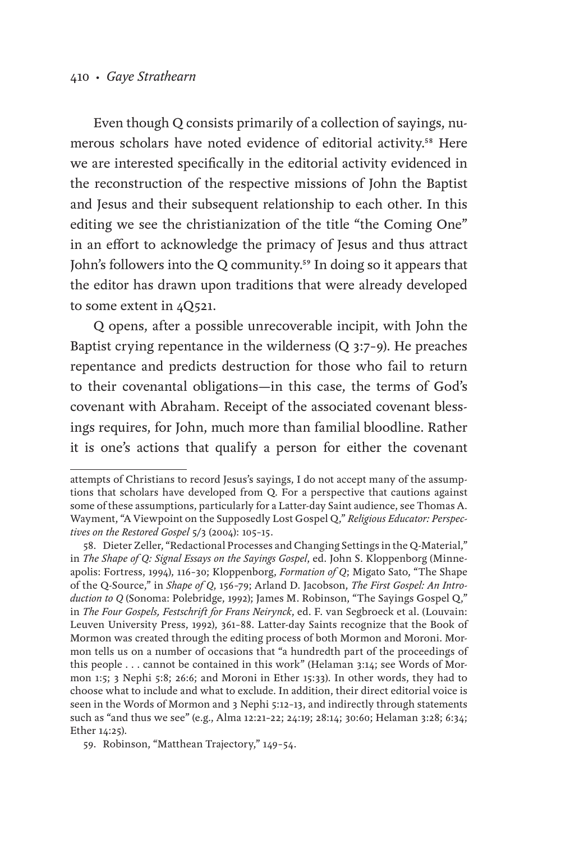#### 410 • *Gaye Strathearn*

Even though Q consists primarily of a collection of sayings, numerous scholars have noted evidence of editorial activity.58 Here we are interested specifically in the editorial activity evidenced in the reconstruction of the respective missions of John the Baptist and Jesus and their subsequent relationship to each other. In this editing we see the christianization of the title "the Coming One" in an effort to acknowledge the primacy of Jesus and thus attract John's followers into the Q community.<sup>59</sup> In doing so it appears that the editor has drawn upon traditions that were already developed to some extent in 4Q521.

Q opens, after a possible unrecoverable incipit, with John the Baptist crying repentance in the wilderness (Q 3:7–9). He preaches repentance and predicts destruction for those who fail to return to their covenantal obligations—in this case, the terms of God's covenant with Abraham. Receipt of the associated covenant blessings requires, for John, much more than familial bloodline. Rather it is one's actions that qualify a person for either the covenant

attempts of Christians to record Jesus's sayings, I do not accept many of the assumptions that scholars have developed from Q. For a perspective that cautions against some of these assumptions, particularly for a Latter-day Saint audience, see Thomas A. Wayment, "A Viewpoint on the Supposedly Lost Gospel Q," *Religious Educator: Perspectives on the Restored Gospel* 5/3 (2004): 105–15.

<sup>58.</sup> Dieter Zeller, "Redactional Processes and Changing Settings in the Q-Material," in *The Shape of Q: Signal Essays on the Sayings Gospel*, ed. John S. Kloppenborg (Minneapolis: Fortress, 1994), 116–30; Kloppenborg, *Formation of Q*; Migato Sato, "The Shape of the Q-Source," in *Shape of Q*, 156–79; Arland D. Jacobson, *The First Gospel: An Introduction to Q* (Sonoma: Polebridge, 1992); James M. Robinson, "The Sayings Gospel Q," in *The Four Gospels, Festschrift for Frans Neirynck*, ed. F. van Segbroeck et al. (Louvain: Leuven University Press, 1992), 361–88. Latter-day Saints recognize that the Book of Mormon was created through the editing process of both Mormon and Moroni. Mormon tells us on a number of occasions that "a hundredth part of the proceedings of this people . . . cannot be contained in this work" (Helaman 3:14; see Words of Mormon 1:5; 3 Nephi 5:8; 26:6; and Moroni in Ether 15:33). In other words, they had to choose what to include and what to exclude. In addition, their direct editorial voice is seen in the Words of Mormon and 3 Nephi 5:12–13, and indirectly through statements such as "and thus we see" (e.g., Alma 12:21–22; 24:19; 28:14; 30:60; Helaman 3:28; 6:34; Ether 14:25).

<sup>59.</sup> Robinson, "Matthean Trajectory," 149–54.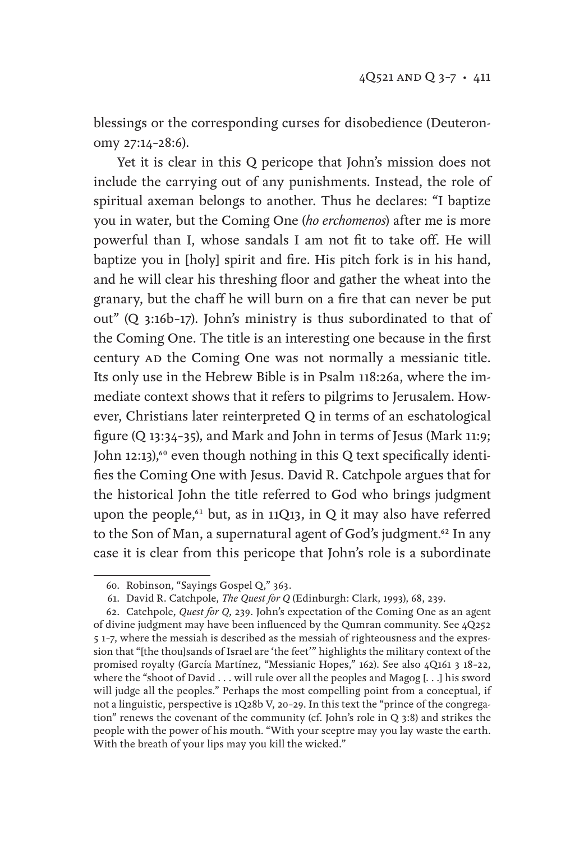blessings or the corresponding curses for disobedience (Deuteronomy 27:14–28:6).

Yet it is clear in this Q pericope that John's mission does not include the carrying out of any punishments. Instead, the role of spiritual axeman belongs to another. Thus he declares: "I baptize you in water, but the Coming One (*ho erchomenos*) after me is more powerful than I, whose sandals I am not fit to take off. He will baptize you in [holy] spirit and fire. His pitch fork is in his hand, and he will clear his threshing floor and gather the wheat into the granary, but the chaff he will burn on a fire that can never be put out" (Q 3:16b–17). John's ministry is thus subordinated to that of the Coming One. The title is an interesting one because in the first century AD the Coming One was not normally a messianic title. Its only use in the Hebrew Bible is in Psalm 118:26a, where the immediate context shows that it refers to pilgrims to Jerusalem. However, Christians later reinterpreted Q in terms of an eschatological figure (Q 13:34–35), and Mark and John in terms of Jesus (Mark 11:9; John 12:13),<sup>60</sup> even though nothing in this Q text specifically identifies the Coming One with Jesus. David R. Catchpole argues that for the historical John the title referred to God who brings judgment upon the people,<sup> $61$ </sup> but, as in 11Q13, in Q it may also have referred to the Son of Man, a supernatural agent of God's judgment.<sup>62</sup> In any case it is clear from this pericope that John's role is a subordinate

<sup>60.</sup> Robinson, "Sayings Gospel Q," 363.

<sup>61.</sup> David R. Catchpole, *The Quest for Q* (Edinburgh: Clark, 1993), 68, 239.

<sup>62.</sup> Catchpole, *Quest for Q*, 239. John's expectation of the Coming One as an agent of divine judgment may have been influenced by the Qumran community. See 4Q252 5 1–7, where the messiah is described as the messiah of righteousness and the expression that "[the thou]sands of Israel are 'the feet'" highlights the military context of the promised royalty (García Martínez, "Messianic Hopes," 162). See also 4Q161 3 18–22, where the "shoot of David . . . will rule over all the peoples and Magog [. . .] his sword will judge all the peoples." Perhaps the most compelling point from a conceptual, if not a linguistic, perspective is 1Q28b V, 20–29. In this text the "prince of the congregation" renews the covenant of the community (cf. John's role in Q 3:8) and strikes the people with the power of his mouth. "With your sceptre may you lay waste the earth. With the breath of your lips may you kill the wicked."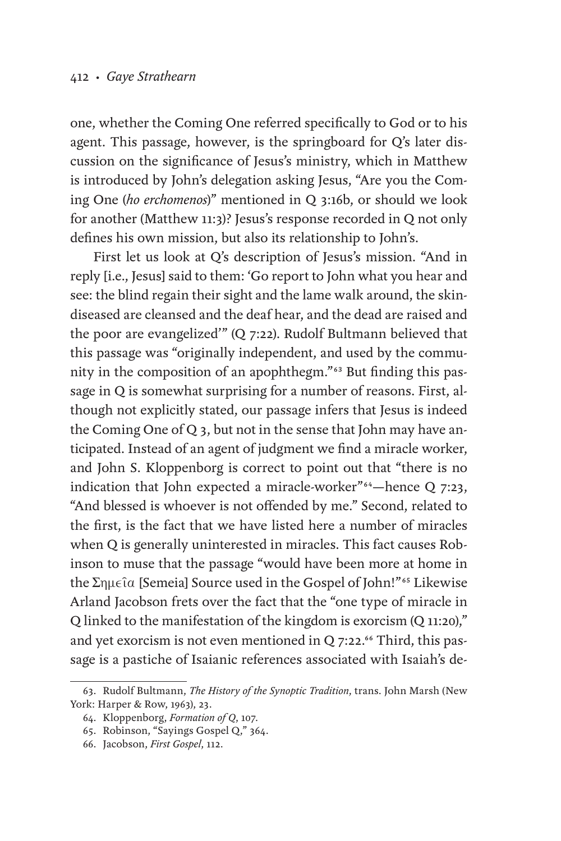one, whether the Coming One referred specifically to God or to his agent. This passage, however, is the springboard for Q's later discussion on the significance of Jesus's ministry, which in Matthew is introduced by John's delegation asking Jesus, "Are you the Coming One (*ho erchomenos*)" mentioned in Q 3:16b, or should we look for another (Matthew 11:3)? Jesus's response recorded in Q not only defines his own mission, but also its relationship to John's.

First let us look at Q's description of Jesus's mission. "And in reply [i.e., Jesus] said to them: 'Go report to John what you hear and see: the blind regain their sight and the lame walk around, the skindiseased are cleansed and the deaf hear, and the dead are raised and the poor are evangelized'" (Q 7:22). Rudolf Bultmann believed that this passage was "originally independent, and used by the community in the composition of an apophthegm."63 But finding this passage in Q is somewhat surprising for a number of reasons. First, although not explicitly stated, our passage infers that Jesus is indeed the Coming One of Q 3, but not in the sense that John may have anticipated. Instead of an agent of judgment we find a miracle worker, and John S. Kloppenborg is correct to point out that "there is no indication that John expected a miracle-worker"<sup>64</sup>—hence Q 7:23, "And blessed is whoever is not offended by me." Second, related to the first, is the fact that we have listed here a number of miracles when Q is generally uninterested in miracles. This fact causes Robinson to muse that the passage "would have been more at home in the Σημεῖα [Semeia] Source used in the Gospel of John!"65 Likewise Arland Jacobson frets over the fact that the "one type of miracle in Q linked to the manifestation of the kingdom is exorcism (Q 11:20)," and yet exorcism is not even mentioned in  $Q$  7:22.<sup>66</sup> Third, this passage is a pastiche of Isaianic references associated with Isaiah's de-

<sup>63.</sup> Rudolf Bultmann, *The History of the Synoptic Tradition*, trans. John Marsh (New York: Harper & Row, 1963), 23.

<sup>64.</sup> Kloppenborg, *Formation of Q*, 107.

<sup>65.</sup> Robinson, "Sayings Gospel Q," 364.

<sup>66.</sup> Jacobson, *First Gospel*, 112.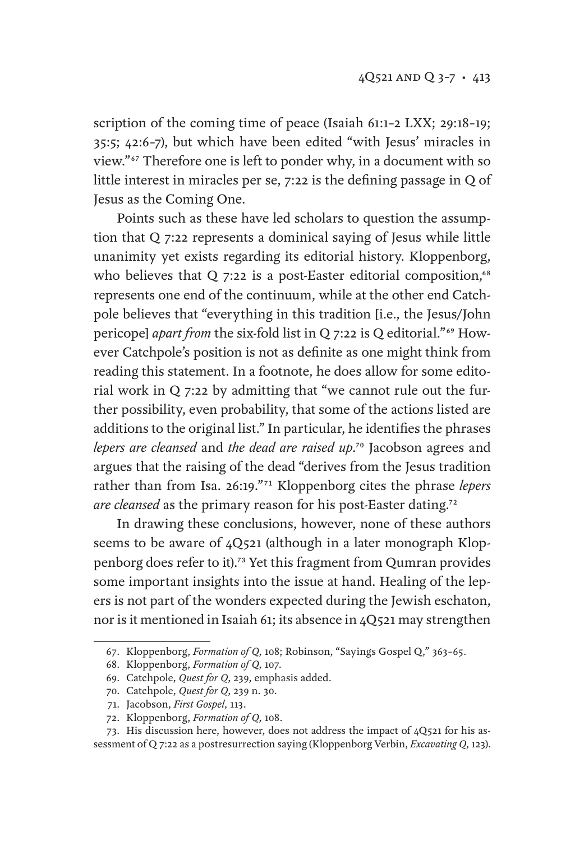scription of the coming time of peace (Isaiah 61:1–2 LXX; 29:18–19; 35:5; 42:6–7), but which have been edited "with Jesus' miracles in view."67 Therefore one is left to ponder why, in a document with so little interest in miracles per se, 7:22 is the defining passage in Q of Jesus as the Coming One.

Points such as these have led scholars to question the assumption that Q 7:22 represents a dominical saying of Jesus while little unanimity yet exists regarding its editorial history. Kloppenborg, who believes that  $Q$  7:22 is a post-Easter editorial composition,<sup>68</sup> represents one end of the continuum, while at the other end Catchpole believes that "everything in this tradition [i.e., the Jesus/John pericope] *apart from* the six-fold list in Q 7:22 is Q editorial."69 However Catchpole's position is not as definite as one might think from reading this statement. In a footnote, he does allow for some editorial work in Q 7:22 by admitting that "we cannot rule out the further possibility, even probability, that some of the actions listed are additions to the original list." In particular, he identifies the phrases *lepers are cleansed* and *the dead are raised up*.70 Jacobson agrees and argues that the raising of the dead "derives from the Jesus tradition rather than from Isa. 26:19."71 Kloppenborg cites the phrase *lepers are cleansed* as the primary reason for his post-Easter dating.72

In drawing these conclusions, however, none of these authors seems to be aware of 4Q521 (although in a later monograph Kloppenborg does refer to it).73 Yet this fragment from Qumran provides some important insights into the issue at hand. Healing of the lepers is not part of the wonders expected during the Jewish eschaton, nor is it mentioned in Isaiah 61; its absence in 4Q521 may strengthen

<sup>67.</sup> Kloppenborg, *Formation of Q*, 108; Robinson, "Sayings Gospel Q," 363–65.

<sup>68.</sup> Kloppenborg, *Formation of Q*, 107.

<sup>69.</sup> Catchpole, *Quest for Q*, 239, emphasis added.

<sup>70.</sup> Catchpole, *Quest for Q*, 239 n. 30.

<sup>71.</sup> Jacobson, *First Gospel*, 113.

<sup>72.</sup> Kloppenborg, *Formation of Q*, 108.

<sup>73.</sup> His discussion here, however, does not address the impact of 4Q521 for his assessment of Q 7:22 as a postresurrection saying (Kloppenborg Verbin, *Excavating Q*, 123).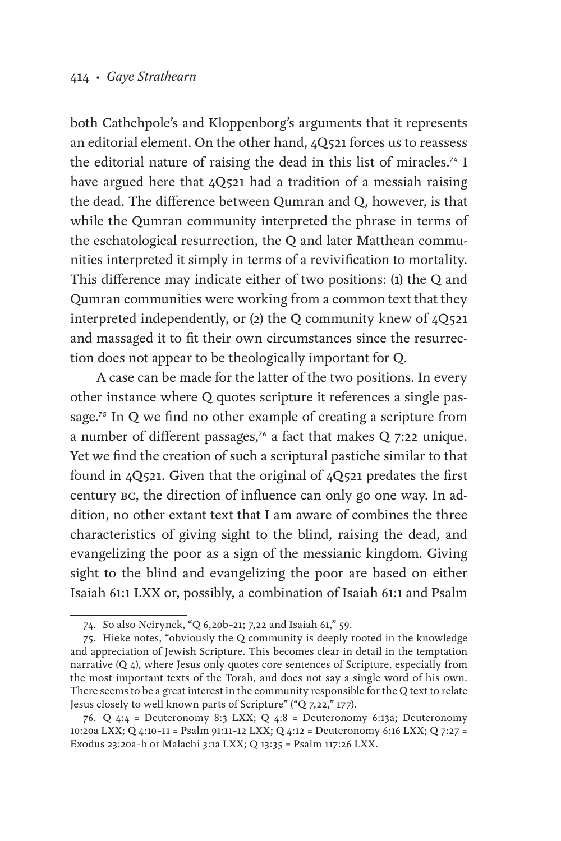both Cathchpole's and Kloppenborg's arguments that it represents an editorial element. On the other hand, 4Q521 forces us to reassess the editorial nature of raising the dead in this list of miracles.74 I have argued here that 40521 had a tradition of a messiah raising the dead. The difference between Qumran and Q, however, is that while the Qumran community interpreted the phrase in terms of the eschatological resurrection, the Q and later Matthean communities interpreted it simply in terms of a revivification to mortality. This difference may indicate either of two positions: (1) the Q and Qumran communities were working from a common text that they interpreted independently, or (2) the Q community knew of 4Q521 and massaged it to fit their own circumstances since the resurrection does not appear to be theologically important for Q.

 A case can be made for the latter of the two positions. In every other instance where Q quotes scripture it references a single passage.75 In Q we find no other example of creating a scripture from a number of different passages,<sup>76</sup> a fact that makes Q 7:22 unique. Yet we find the creation of such a scriptural pastiche similar to that found in 4Q521. Given that the original of 4Q521 predates the first century bc, the direction of influence can only go one way. In addition, no other extant text that I am aware of combines the three characteristics of giving sight to the blind, raising the dead, and evangelizing the poor as a sign of the messianic kingdom. Giving sight to the blind and evangelizing the poor are based on either Isaiah 61:1 LXX or, possibly, a combination of Isaiah 61:1 and Psalm

<sup>74.</sup> So also Neirynck, "Q 6,20b–21; 7,22 and Isaiah 61," 59.

<sup>75.</sup> Hieke notes, "obviously the Q community is deeply rooted in the knowledge and appreciation of Jewish Scripture. This becomes clear in detail in the temptation narrative (Q 4), where Jesus only quotes core sentences of Scripture, especially from the most important texts of the Torah, and does not say a single word of his own. There seems to be a great interest in the community responsible for the Q text to relate Jesus closely to well known parts of Scripture" ("Q 7,22," 177).

<sup>76.</sup> Q 4:4 = Deuteronomy 8:3 LXX; Q 4:8 = Deuteronomy 6:13a; Deuteronomy 10:20a LXX; Q 4:10–11 = Psalm 91:11–12 LXX; Q 4:12 = Deuteronomy 6:16 LXX; Q 7:27 = Exodus 23:20a–b or Malachi 3:1a LXX; Q 13:35 = Psalm 117:26 LXX.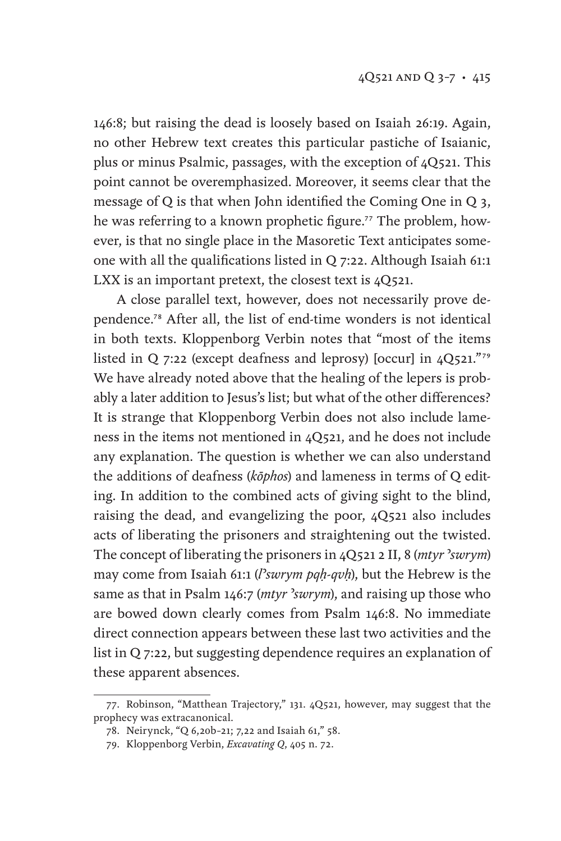146:8; but raising the dead is loosely based on Isaiah 26:19. Again, no other Hebrew text creates this particular pastiche of Isaianic, plus or minus Psalmic, passages, with the exception of 4Q521. This point cannot be overemphasized. Moreover, it seems clear that the message of Q is that when John identified the Coming One in Q 3, he was referring to a known prophetic figure.<sup>77</sup> The problem, however, is that no single place in the Masoretic Text anticipates someone with all the qualifications listed in Q 7:22. Although Isaiah 61:1 LXX is an important pretext, the closest text is 4Q521.

A close parallel text, however, does not necessarily prove dependence.78 After all, the list of end-time wonders is not identical in both texts. Kloppenborg Verbin notes that "most of the items listed in Q 7:22 (except deafness and leprosy) [occur] in  $4Q521.^{779}$ We have already noted above that the healing of the lepers is probably a later addition to Jesus's list; but what of the other differences? It is strange that Kloppenborg Verbin does not also include lameness in the items not mentioned in 4Q521, and he does not include any explanation. The question is whether we can also understand the additions of deafness (*kōphos*) and lameness in terms of Q editing. In addition to the combined acts of giving sight to the blind, raising the dead, and evangelizing the poor, 4Q521 also includes acts of liberating the prisoners and straightening out the twisted. The concept of liberating the prisoners in 4Q521 2 II, 8 (*mtyr* ʾ*swrym*) may come from Isaiah 61:1 (*l*ʾ*swrym pqḥ-qvḥ*), but the Hebrew is the same as that in Psalm 146:7 (*mtyr* ʾ*swrym*), and raising up those who are bowed down clearly comes from Psalm 146:8. No immediate direct connection appears between these last two activities and the list in Q 7:22, but suggesting dependence requires an explanation of these apparent absences.

<sup>77.</sup> Robinson, "Matthean Trajectory," 131. 4Q521, however, may suggest that the prophecy was extracanonical.

<sup>78.</sup> Neirynck, "Q 6,20b–21; 7,22 and Isaiah 61," 58.

<sup>79.</sup> Kloppenborg Verbin, *Excavating Q*, 405 n. 72.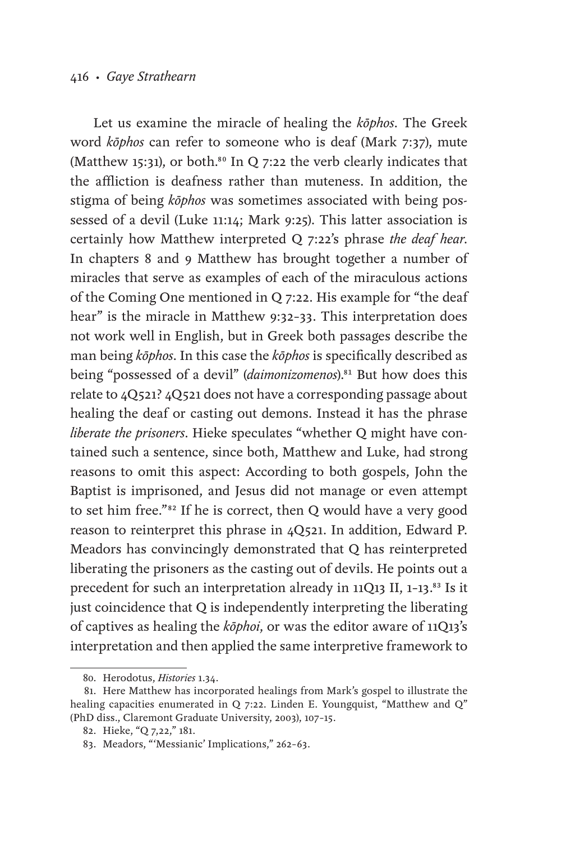#### 416 • *Gaye Strathearn*

Let us examine the miracle of healing the *kōphos*. The Greek word *kōphos* can refer to someone who is deaf (Mark 7:37), mute (Matthew 15:31), or both.<sup>80</sup> In Q 7:22 the verb clearly indicates that the affliction is deafness rather than muteness. In addition, the stigma of being *kōphos* was sometimes associated with being possessed of a devil (Luke 11:14; Mark 9:25). This latter association is certainly how Matthew interpreted Q 7:22's phrase *the deaf hear*. In chapters 8 and 9 Matthew has brought together a number of miracles that serve as examples of each of the miraculous actions of the Coming One mentioned in Q 7:22. His example for "the deaf hear" is the miracle in Matthew 9:32–33. This interpretation does not work well in English, but in Greek both passages describe the man being *kōphos*. In this case the *kōphos* is specifically described as being "possessed of a devil" (*daimonizomenos*).<sup>81</sup> But how does this relate to 4Q521? 4Q521 does not have a corresponding passage about healing the deaf or casting out demons. Instead it has the phrase *liberate the prisoners*. Hieke speculates "whether Q might have contained such a sentence, since both, Matthew and Luke, had strong reasons to omit this aspect: According to both gospels, John the Baptist is imprisoned, and Jesus did not manage or even attempt to set him free."82 If he is correct, then Q would have a very good reason to reinterpret this phrase in 4Q521. In addition, Edward P. Meadors has convincingly demonstrated that Q has reinterpreted liberating the prisoners as the casting out of devils. He points out a precedent for such an interpretation already in 11Q13 II, 1-13.83 Is it just coincidence that Q is independently interpreting the liberating of captives as healing the *kōphoi*, or was the editor aware of 11Q13's interpretation and then applied the same interpretive framework to

<sup>80.</sup> Herodotus, *Histories* 1.34.

<sup>81.</sup> Here Matthew has incorporated healings from Mark's gospel to illustrate the healing capacities enumerated in Q 7:22. Linden E. Youngquist, "Matthew and Q" (PhD diss., Claremont Graduate University, 2003), 107–15.

<sup>82.</sup> Hieke, "Q 7,22," 181.

<sup>83.</sup> Meadors, "'Messianic' Implications," 262–63.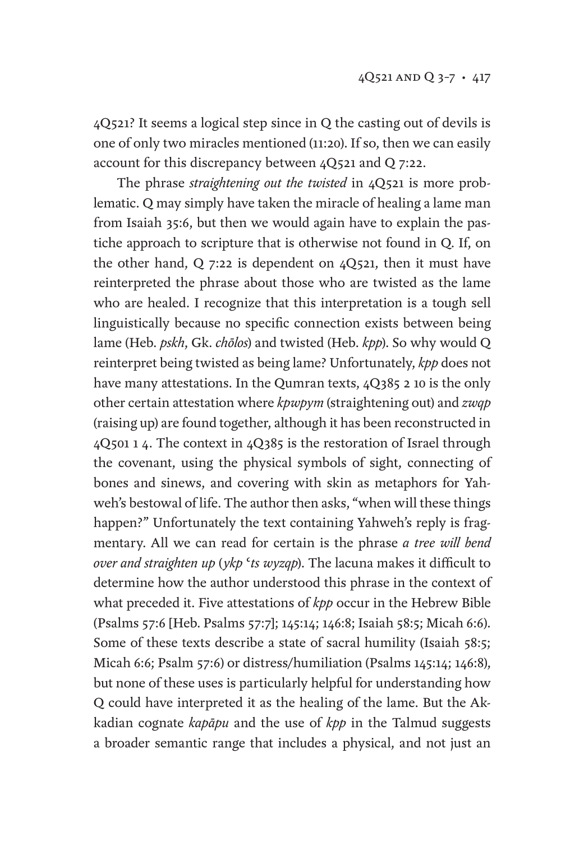4Q521? It seems a logical step since in Q the casting out of devils is one of only two miracles mentioned (11:20). If so, then we can easily account for this discrepancy between 4Q521 and Q 7:22.

The phrase *straightening out the twisted* in 4Q521 is more problematic. Q may simply have taken the miracle of healing a lame man from Isaiah 35:6, but then we would again have to explain the pastiche approach to scripture that is otherwise not found in Q. If, on the other hand, Q 7:22 is dependent on 4Q521, then it must have reinterpreted the phrase about those who are twisted as the lame who are healed. I recognize that this interpretation is a tough sell linguistically because no specific connection exists between being lame (Heb. *pskh*, Gk. *chōlos*) and twisted (Heb. *kpp*). So why would Q reinterpret being twisted as being lame? Unfortunately, *kpp* does not have many attestations. In the Qumran texts, 4Q385 2 10 is the only other certain attestation where *kpwpym* (straightening out) and *zwqp* (raising up) are found together, although it has been reconstructed in 4Q501 1 4. The context in 4Q385 is the restoration of Israel through the covenant, using the physical symbols of sight, connecting of bones and sinews, and covering with skin as metaphors for Yahweh's bestowal of life. The author then asks, "when will these things happen?" Unfortunately the text containing Yahweh's reply is fragmentary. All we can read for certain is the phrase *a tree will bend over and straighten up* (*ykp* ʿ*ts wyzqp*). The lacuna makes it difficult to determine how the author understood this phrase in the context of what preceded it. Five attestations of *kpp* occur in the Hebrew Bible (Psalms 57:6 [Heb. Psalms 57:7]; 145:14; 146:8; Isaiah 58:5; Micah 6:6). Some of these texts describe a state of sacral humility (Isaiah 58:5; Micah 6:6; Psalm 57:6) or distress/humiliation (Psalms 145:14; 146:8), but none of these uses is particularly helpful for understanding how Q could have interpreted it as the healing of the lame. But the Akkadian cognate *kapāpu* and the use of *kpp* in the Talmud suggests a broader semantic range that includes a physical, and not just an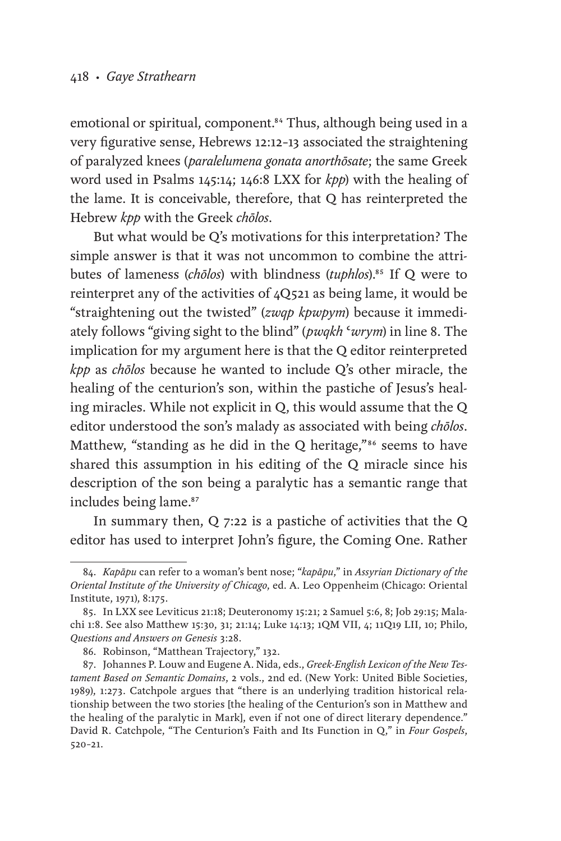emotional or spiritual, component.<sup>84</sup> Thus, although being used in a very figurative sense, Hebrews 12:12–13 associated the straightening of paralyzed knees (*paralelumena gonata anorthōsate*; the same Greek word used in Psalms 145:14; 146:8 LXX for *kpp*) with the healing of the lame. It is conceivable, therefore, that Q has reinterpreted the Hebrew *kpp* with the Greek *chōlos*.

But what would be Q's motivations for this interpretation? The simple answer is that it was not uncommon to combine the attributes of lameness (*chōlos*) with blindness (*tuphlos*).<sup>85</sup> If Q were to reinterpret any of the activities of 4Q521 as being lame, it would be "straightening out the twisted" (*zwqp kpwpym*) because it immediately follows "giving sight to the blind" (*pwqkh* ʿ*wrym*) in line 8. The implication for my argument here is that the Q editor reinterpreted *kpp* as *chōlos* because he wanted to include Q's other miracle, the healing of the centurion's son, within the pastiche of Jesus's healing miracles. While not explicit in Q, this would assume that the Q editor understood the son's malady as associated with being *chōlos*. Matthew, "standing as he did in the Q heritage,"<sup>86</sup> seems to have shared this assumption in his editing of the Q miracle since his description of the son being a paralytic has a semantic range that includes being lame.<sup>87</sup>

In summary then, Q 7:22 is a pastiche of activities that the Q editor has used to interpret John's figure, the Coming One. Rather

<sup>84.</sup> *Kapāpu* can refer to a woman's bent nose; "*kapāpu*," in *Assyrian Dictionary of the Oriental Institute of the University of Chicago*, ed. A. Leo Oppenheim (Chicago: Oriental Institute, 1971), 8:175.

<sup>85.</sup> In LXX see Leviticus 21:18; Deuteronomy 15:21; 2 Samuel 5:6, 8; Job 29:15; Malachi 1:8. See also Matthew 15:30, 31; 21:14; Luke 14:13; 1QM VII, 4; 11Q19 LII, 10; Philo, *Questions and Answers on Genesis* 3:28.

<sup>86.</sup> Robinson, "Matthean Trajectory," 132.

<sup>87.</sup> Johannes P. Louw and Eugene A. Nida, eds., *Greek-English Lexicon of the New Testament Based on Semantic Domains*, 2 vols., 2nd ed. (New York: United Bible Societies, 1989), 1:273. Catchpole argues that "there is an underlying tradition historical relationship between the two stories [the healing of the Centurion's son in Matthew and the healing of the paralytic in Mark], even if not one of direct literary dependence." David R. Catchpole, "The Centurion's Faith and Its Function in Q," in *Four Gospels*, 520–21.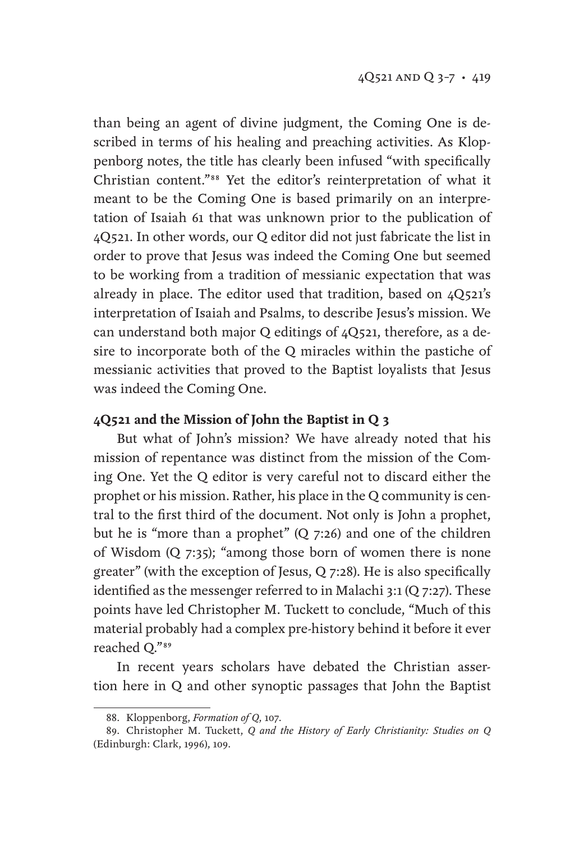than being an agent of divine judgment, the Coming One is described in terms of his healing and preaching activities. As Kloppenborg notes, the title has clearly been infused "with specifically Christian content."88 Yet the editor's reinterpretation of what it meant to be the Coming One is based primarily on an interpretation of Isaiah 61 that was unknown prior to the publication of 4Q521. In other words, our Q editor did not just fabricate the list in order to prove that Jesus was indeed the Coming One but seemed to be working from a tradition of messianic expectation that was already in place. The editor used that tradition, based on 4Q521's interpretation of Isaiah and Psalms, to describe Jesus's mission. We can understand both major Q editings of 4Q521, therefore, as a desire to incorporate both of the Q miracles within the pastiche of messianic activities that proved to the Baptist loyalists that Jesus was indeed the Coming One.

#### **4Q521 and the Mission of John the Baptist in Q 3**

But what of John's mission? We have already noted that his mission of repentance was distinct from the mission of the Coming One. Yet the Q editor is very careful not to discard either the prophet or his mission. Rather, his place in the Q community is central to the first third of the document. Not only is John a prophet, but he is "more than a prophet" (Q 7:26) and one of the children of Wisdom (Q 7:35); "among those born of women there is none greater" (with the exception of Jesus, Q 7:28). He is also specifically identified as the messenger referred to in Malachi 3:1 (Q 7:27). These points have led Christopher M. Tuckett to conclude, "Much of this material probably had a complex pre-history behind it before it ever reached Q."89

In recent years scholars have debated the Christian assertion here in Q and other synoptic passages that John the Baptist

<sup>88.</sup> Kloppenborg, *Formation of Q*, 107.

<sup>89.</sup> Christopher M. Tuckett, *Q and the History of Early Christianity: Studies on Q* (Edinburgh: Clark, 1996), 109.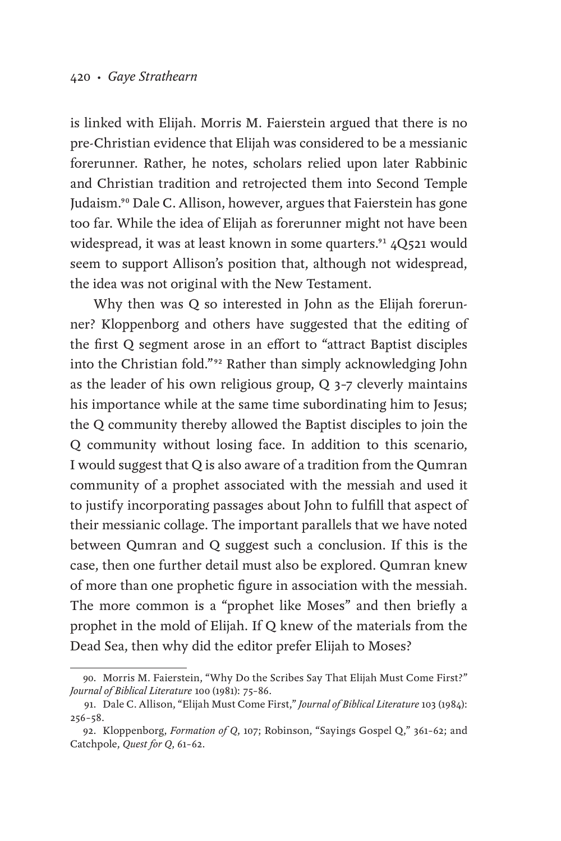is linked with Elijah. Morris M. Faierstein argued that there is no pre-Christian evidence that Elijah was considered to be a messianic forerunner. Rather, he notes, scholars relied upon later Rabbinic and Christian tradition and retrojected them into Second Temple Judaism.<sup>90</sup> Dale C. Allison, however, argues that Faierstein has gone too far. While the idea of Elijah as forerunner might not have been widespread, it was at least known in some quarters.<sup>91</sup> 4Q521 would seem to support Allison's position that, although not widespread, the idea was not original with the New Testament.

Why then was Q so interested in John as the Elijah forerunner? Kloppenborg and others have suggested that the editing of the first Q segment arose in an effort to "attract Baptist disciples into the Christian fold."92 Rather than simply acknowledging John as the leader of his own religious group, Q 3–7 cleverly maintains his importance while at the same time subordinating him to Jesus; the Q community thereby allowed the Baptist disciples to join the Q community without losing face. In addition to this scenario, I would suggest that Q is also aware of a tradition from the Qumran community of a prophet associated with the messiah and used it to justify incorporating passages about John to fulfill that aspect of their messianic collage. The important parallels that we have noted between Qumran and Q suggest such a conclusion. If this is the case, then one further detail must also be explored. Qumran knew of more than one prophetic figure in association with the messiah. The more common is a "prophet like Moses" and then briefly a prophet in the mold of Elijah. If Q knew of the materials from the Dead Sea, then why did the editor prefer Elijah to Moses?

<sup>90.</sup> Morris M. Faierstein, "Why Do the Scribes Say That Elijah Must Come First?" *Journal of Biblical Literature* 100 (1981): 75–86.

<sup>91.</sup> Dale C. Allison, "Elijah Must Come First," *Journal of Biblical Literature* 103 (1984): 256–58.

<sup>92.</sup> Kloppenborg, *Formation of Q*, 107; Robinson, "Sayings Gospel Q," 361–62; and Catchpole, *Quest for Q*, 61–62.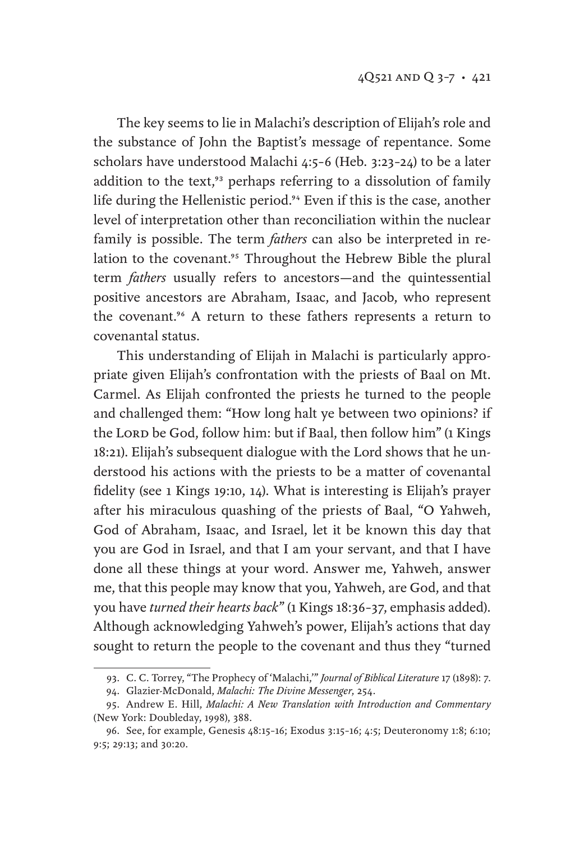The key seems to lie in Malachi's description of Elijah's role and the substance of John the Baptist's message of repentance. Some scholars have understood Malachi 4:5–6 (Heb. 3:23–24) to be a later addition to the text,<sup>93</sup> perhaps referring to a dissolution of family life during the Hellenistic period.<sup>94</sup> Even if this is the case, another level of interpretation other than reconciliation within the nuclear family is possible. The term *fathers* can also be interpreted in relation to the covenant.<sup>95</sup> Throughout the Hebrew Bible the plural term *fathers* usually refers to ancestors—and the quintessential positive ancestors are Abraham, Isaac, and Jacob, who represent the covenant.<sup>96</sup> A return to these fathers represents a return to covenantal status.

This understanding of Elijah in Malachi is particularly appropriate given Elijah's confrontation with the priests of Baal on Mt. Carmel. As Elijah confronted the priests he turned to the people and challenged them: "How long halt ye between two opinions? if the LORD be God, follow him: but if Baal, then follow him" (1 Kings 18:21). Elijah's subsequent dialogue with the Lord shows that he understood his actions with the priests to be a matter of covenantal fidelity (see 1 Kings 19:10, 14). What is interesting is Elijah's prayer after his miraculous quashing of the priests of Baal, "O Yahweh, God of Abraham, Isaac, and Israel, let it be known this day that you are God in Israel, and that I am your servant, and that I have done all these things at your word. Answer me, Yahweh, answer me, that this people may know that you, Yahweh, are God, and that you have *turned their hearts back*" (1 Kings 18:36–37, emphasis added). Although acknowledging Yahweh's power, Elijah's actions that day sought to return the people to the covenant and thus they "turned

<sup>93.</sup> C. C. Torrey, "The Prophecy of 'Malachi,'" *Journal of Biblical Literature* 17 (1898): 7.

<sup>94.</sup> Glazier-McDonald, *Malachi: The Divine Messenger*, 254.

<sup>95.</sup> Andrew E. Hill, *Malachi: A New Translation with Introduction and Commentary* (New York: Doubleday, 1998), 388.

<sup>96.</sup> See, for example, Genesis 48:15–16; Exodus 3:15–16; 4:5; Deuteronomy 1:8; 6:10; 9:5; 29:13; and 30:20.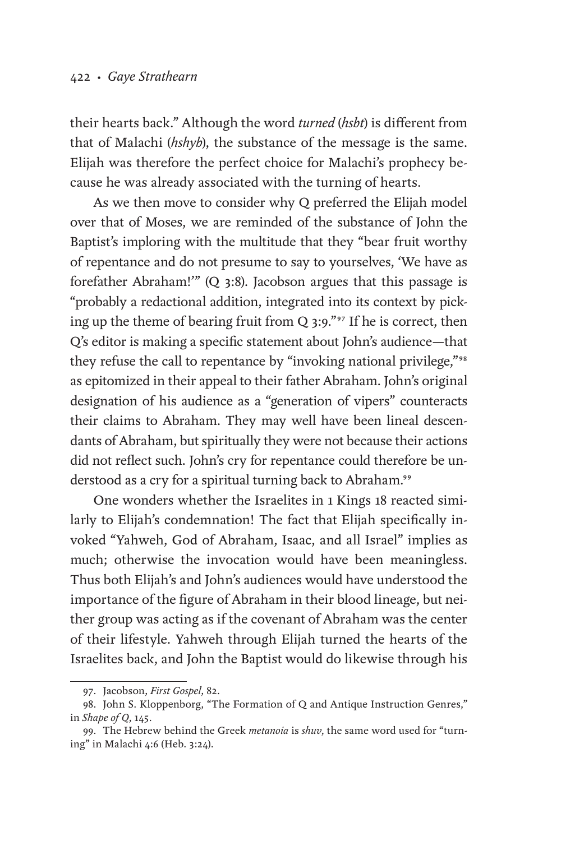their hearts back." Although the word *turned* (*hsbt*) is different from that of Malachi (*hshyb*), the substance of the message is the same. Elijah was therefore the perfect choice for Malachi's prophecy because he was already associated with the turning of hearts.

As we then move to consider why Q preferred the Elijah model over that of Moses, we are reminded of the substance of John the Baptist's imploring with the multitude that they "bear fruit worthy of repentance and do not presume to say to yourselves, 'We have as forefather Abraham!'" (Q 3:8). Jacobson argues that this passage is "probably a redactional addition, integrated into its context by picking up the theme of bearing fruit from Q 3:9."97 If he is correct, then Q's editor is making a specific statement about John's audience—that they refuse the call to repentance by "invoking national privilege,"<sup>98</sup> as epitomized in their appeal to their father Abraham. John's original designation of his audience as a "generation of vipers" counteracts their claims to Abraham. They may well have been lineal descendants of Abraham, but spiritually they were not because their actions did not reflect such. John's cry for repentance could therefore be understood as a cry for a spiritual turning back to Abraham.<sup>99</sup>

One wonders whether the Israelites in 1 Kings 18 reacted similarly to Elijah's condemnation! The fact that Elijah specifically invoked "Yahweh, God of Abraham, Isaac, and all Israel" implies as much; otherwise the invocation would have been meaningless. Thus both Elijah's and John's audiences would have understood the importance of the figure of Abraham in their blood lineage, but neither group was acting as if the covenant of Abraham was the center of their lifestyle. Yahweh through Elijah turned the hearts of the Israelites back, and John the Baptist would do likewise through his

<sup>97.</sup> Jacobson, *First Gospel*, 82.

<sup>98.</sup> John S. Kloppenborg, "The Formation of Q and Antique Instruction Genres," in *Shape of Q*, 145.

<sup>99.</sup> The Hebrew behind the Greek *metanoia* is *shuv*, the same word used for "turning" in Malachi 4:6 (Heb. 3:24).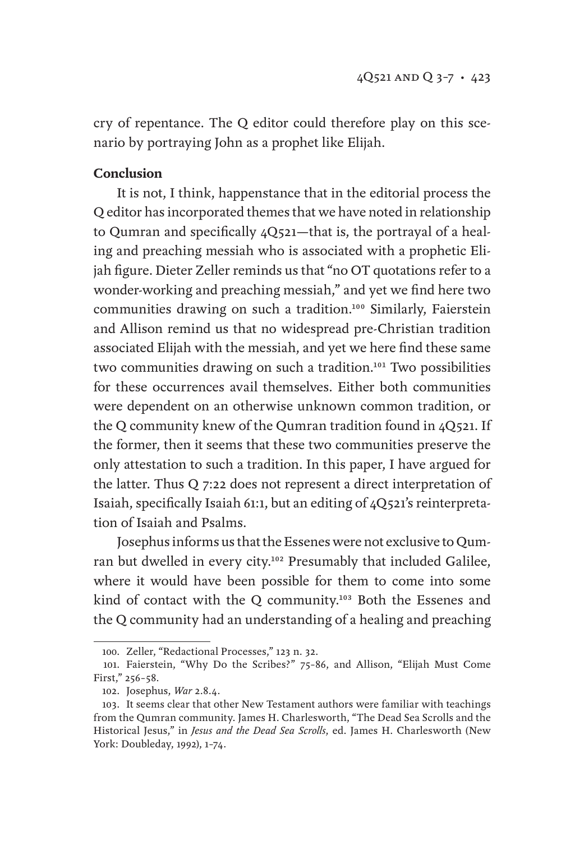cry of repentance. The Q editor could therefore play on this scenario by portraying John as a prophet like Elijah.

### **Conclusion**

It is not, I think, happenstance that in the editorial process the Q editor has incorporated themes that we have noted in relationship to Qumran and specifically 4Q521—that is, the portrayal of a healing and preaching messiah who is associated with a prophetic Elijah figure. Dieter Zeller reminds us that "no OT quotations refer to a wonder-working and preaching messiah," and yet we find here two communities drawing on such a tradition.100 Similarly, Faierstein and Allison remind us that no widespread pre-Christian tradition associated Elijah with the messiah, and yet we here find these same two communities drawing on such a tradition.101 Two possibilities for these occurrences avail themselves. Either both communities were dependent on an otherwise unknown common tradition, or the Q community knew of the Qumran tradition found in 4Q521. If the former, then it seems that these two communities preserve the only attestation to such a tradition. In this paper, I have argued for the latter. Thus Q 7:22 does not represent a direct interpretation of Isaiah, specifically Isaiah 61:1, but an editing of 4Q521's reinterpretation of Isaiah and Psalms.

Josephus informs us that the Essenes were not exclusive to Qumran but dwelled in every city.<sup>102</sup> Presumably that included Galilee, where it would have been possible for them to come into some kind of contact with the Q community.<sup>103</sup> Both the Essenes and the Q community had an understanding of a healing and preaching

<sup>100.</sup> Zeller, "Redactional Processes," 123 n. 32.

<sup>101.</sup> Faierstein, "Why Do the Scribes?" 75–86, and Allison, "Elijah Must Come First," 256–58.

<sup>102.</sup> Josephus, *War* 2.8.4.

<sup>103.</sup> It seems clear that other New Testament authors were familiar with teachings from the Qumran community. James H. Charlesworth, "The Dead Sea Scrolls and the Historical Jesus," in *Jesus and the Dead Sea Scrolls*, ed. James H. Charlesworth (New York: Doubleday, 1992), 1–74.